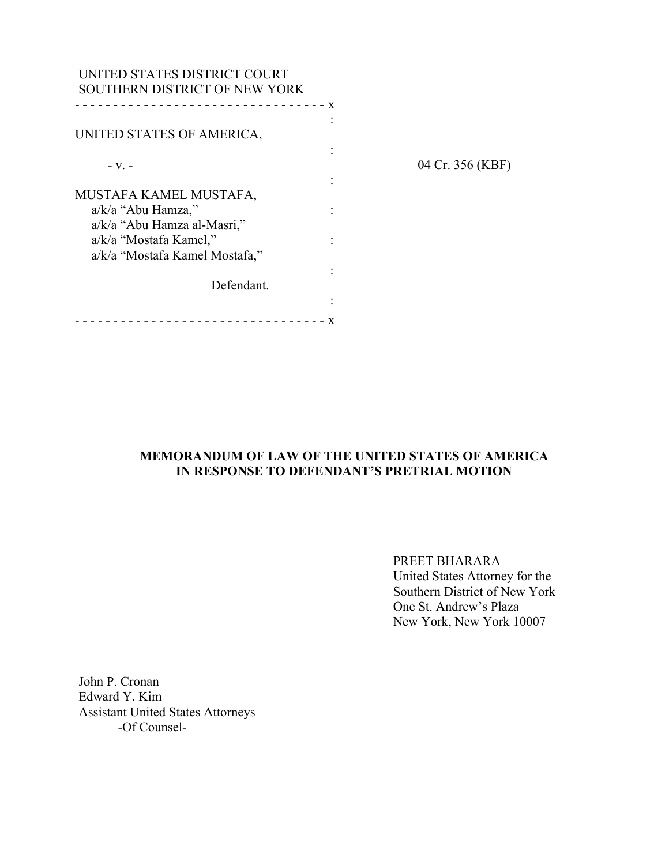| UNITED STATES DISTRICT COURT<br>SOUTHERN DISTRICT OF NEW YORK |              |                  |
|---------------------------------------------------------------|--------------|------------------|
|                                                               | $\mathbf{x}$ |                  |
| UNITED STATES OF AMERICA,                                     |              |                  |
| $-V.$ -                                                       |              | 04 Cr. 356 (KBF) |
| MUSTAFA KAMEL MUSTAFA,                                        |              |                  |
| $a/k/a$ "Abu Hamza,"                                          |              |                  |
| a/k/a "Abu Hamza al-Masri,"<br>a/k/a "Mostafa Kamel,"         |              |                  |
| a/k/a "Mostafa Kamel Mostafa,"                                |              |                  |
|                                                               |              |                  |
| Defendant.                                                    |              |                  |
|                                                               |              |                  |

# **MEMORANDUM OF LAW OF THE UNITED STATES OF AMERICA IN RESPONSE TO DEFENDANT'S PRETRIAL MOTION**

PREET BHARARA United States Attorney for the Southern District of New York One St. Andrew's Plaza New York, New York 10007

John P. Cronan Edward Y. Kim Assistant United States Attorneys -Of Counsel-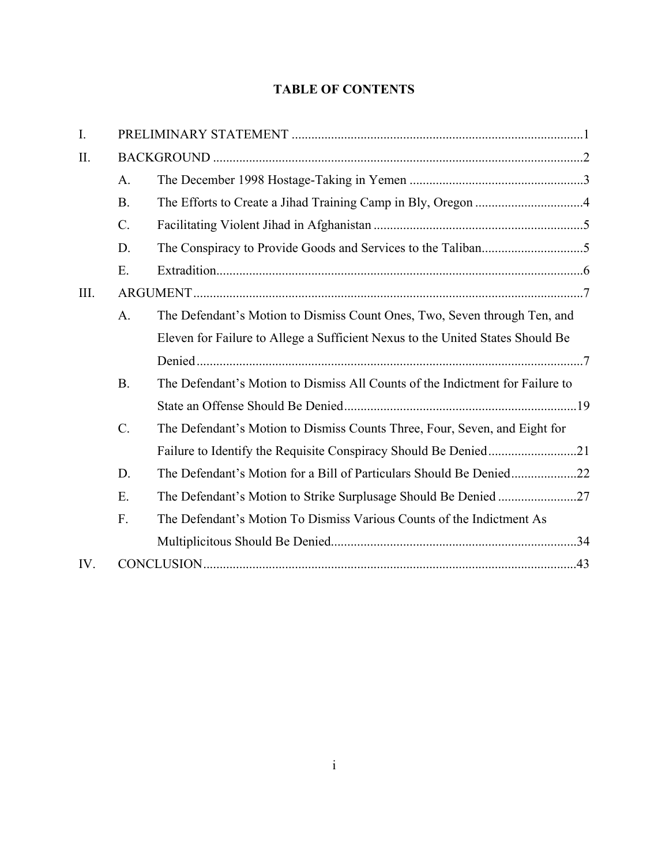# **TABLE OF CONTENTS**

| $I_{\cdot}$ |                |                                                                                |  |
|-------------|----------------|--------------------------------------------------------------------------------|--|
| II.         |                |                                                                                |  |
|             | $\mathbf{A}$ . |                                                                                |  |
|             | B.             |                                                                                |  |
|             | $C$ .          |                                                                                |  |
|             | D.             |                                                                                |  |
|             | E.             |                                                                                |  |
| III.        |                |                                                                                |  |
|             | A <sub>1</sub> | The Defendant's Motion to Dismiss Count Ones, Two, Seven through Ten, and      |  |
|             |                | Eleven for Failure to Allege a Sufficient Nexus to the United States Should Be |  |
|             |                |                                                                                |  |
|             | B.             | The Defendant's Motion to Dismiss All Counts of the Indictment for Failure to  |  |
|             |                |                                                                                |  |
|             | $C$ .          | The Defendant's Motion to Dismiss Counts Three, Four, Seven, and Eight for     |  |
|             |                |                                                                                |  |
|             | D.             | The Defendant's Motion for a Bill of Particulars Should Be Denied22            |  |
|             | Ε.             |                                                                                |  |
|             | F.             | The Defendant's Motion To Dismiss Various Counts of the Indictment As          |  |
|             |                |                                                                                |  |
| IV.         |                |                                                                                |  |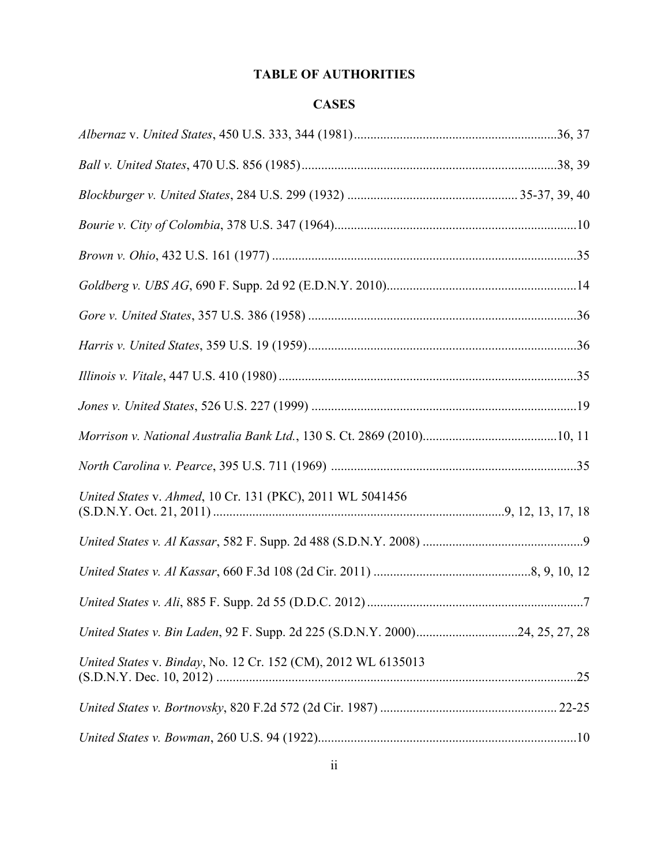# **TABLE OF AUTHORITIES**

# **CASES**

| United States v. Ahmed, 10 Cr. 131 (PKC), 2011 WL 5041456                    |  |
|------------------------------------------------------------------------------|--|
|                                                                              |  |
|                                                                              |  |
|                                                                              |  |
| United States v. Bin Laden, 92 F. Supp. 2d 225 (S.D.N.Y. 2000)24, 25, 27, 28 |  |
| United States v. Binday, No. 12 Cr. 152 (CM), 2012 WL 6135013                |  |
|                                                                              |  |
|                                                                              |  |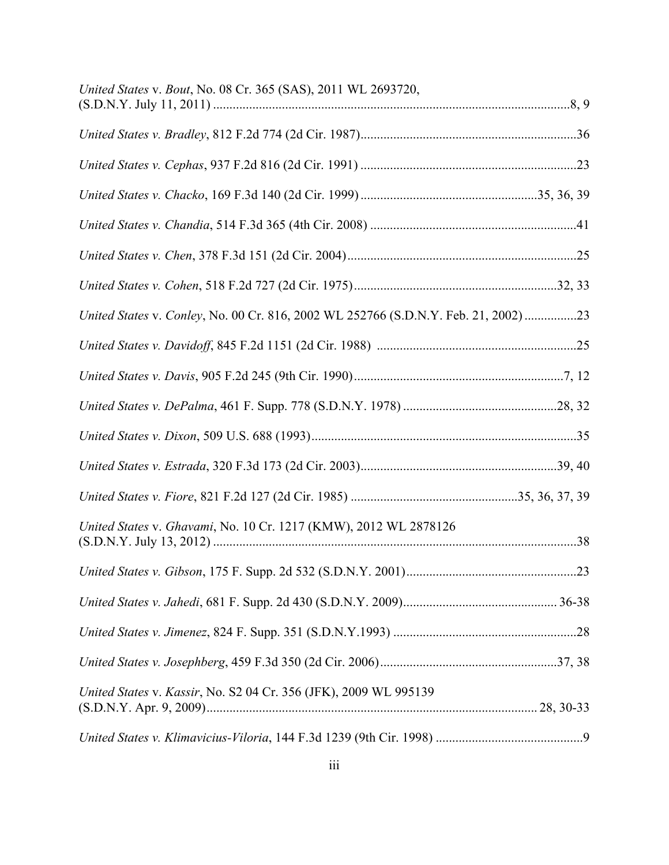| United States v. Bout, No. 08 Cr. 365 (SAS), 2011 WL 2693720,                      |  |
|------------------------------------------------------------------------------------|--|
|                                                                                    |  |
|                                                                                    |  |
|                                                                                    |  |
|                                                                                    |  |
|                                                                                    |  |
|                                                                                    |  |
| United States v. Conley, No. 00 Cr. 816, 2002 WL 252766 (S.D.N.Y. Feb. 21, 2002)23 |  |
|                                                                                    |  |
|                                                                                    |  |
|                                                                                    |  |
|                                                                                    |  |
|                                                                                    |  |
|                                                                                    |  |
| United States v. Ghavami, No. 10 Cr. 1217 (KMW), 2012 WL 2878126                   |  |
|                                                                                    |  |
|                                                                                    |  |
|                                                                                    |  |
|                                                                                    |  |
| United States v. Kassir, No. S2 04 Cr. 356 (JFK), 2009 WL 995139                   |  |
|                                                                                    |  |
|                                                                                    |  |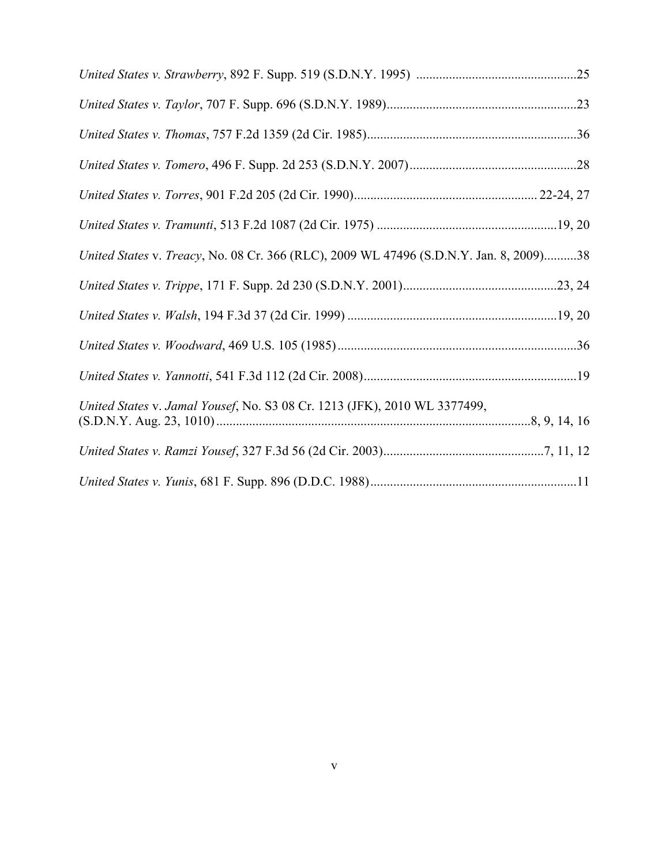| United States v. Treacy, No. 08 Cr. 366 (RLC), 2009 WL 47496 (S.D.N.Y. Jan. 8, 2009)38 |  |
|----------------------------------------------------------------------------------------|--|
|                                                                                        |  |
|                                                                                        |  |
|                                                                                        |  |
|                                                                                        |  |
| United States v. Jamal Yousef, No. S3 08 Cr. 1213 (JFK), 2010 WL 3377499,              |  |
|                                                                                        |  |
|                                                                                        |  |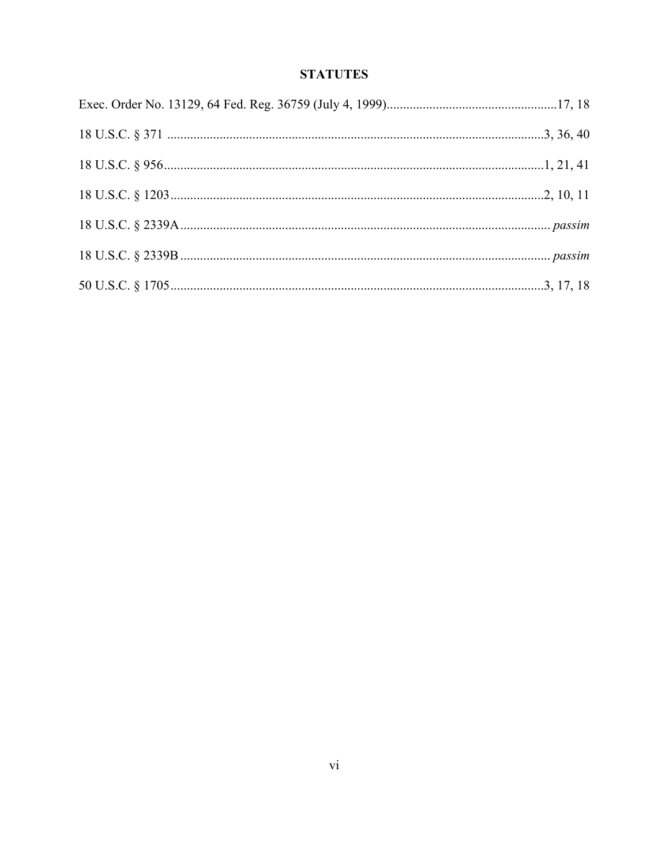# **STATUTES**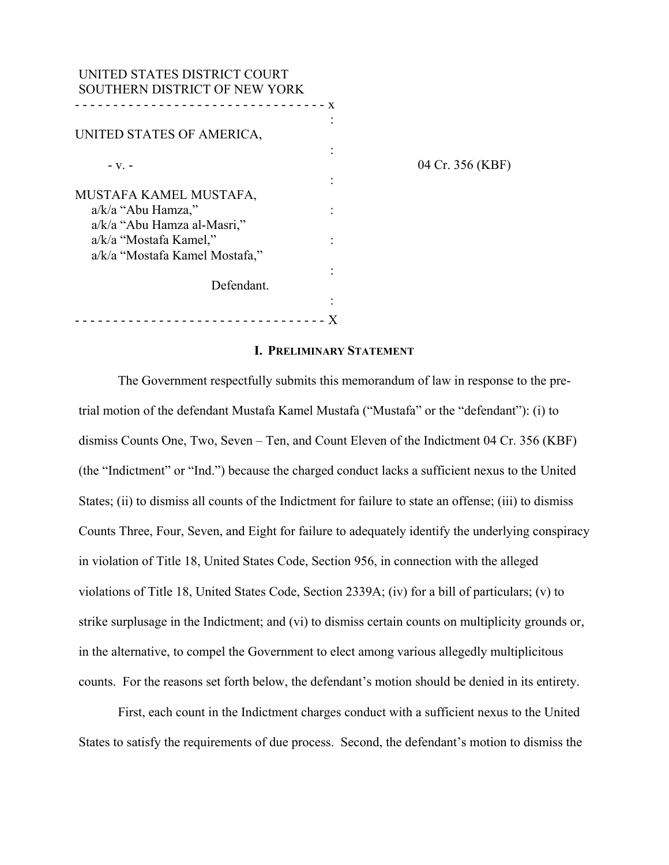| UNITED STATES DISTRICT COURT<br>SOUTHERN DISTRICT OF NEW YORK |   |                  |
|---------------------------------------------------------------|---|------------------|
| UNITED STATES OF AMERICA,                                     | X |                  |
| $-V1$ –                                                       |   | 04 Cr. 356 (KBF) |
| MUSTAFA KAMEL MUSTAFA,                                        |   |                  |
| $a/k/a$ "Abu Hamza,"<br>a/k/a "Abu Hamza al-Masri,"           |   |                  |
| a/k/a "Mostafa Kamel,"<br>a/k/a "Mostafa Kamel Mostafa,"      |   |                  |
| Defendant.                                                    |   |                  |
|                                                               |   |                  |

- - - - - - - - - - - - - - - - - - - - - - - - - - - - - - - - - X

**I. PRELIMINARY STATEMENT**

The Government respectfully submits this memorandum of law in response to the pretrial motion of the defendant Mustafa Kamel Mustafa ("Mustafa" or the "defendant"): (i) to dismiss Counts One, Two, Seven – Ten, and Count Eleven of the Indictment 04 Cr. 356 (KBF) (the "Indictment" or "Ind.") because the charged conduct lacks a sufficient nexus to the United States; (ii) to dismiss all counts of the Indictment for failure to state an offense; (iii) to dismiss Counts Three, Four, Seven, and Eight for failure to adequately identify the underlying conspiracy in violation of Title 18, United States Code, Section 956, in connection with the alleged violations of Title 18, United States Code, Section 2339A; (iv) for a bill of particulars; (v) to strike surplusage in the Indictment; and (vi) to dismiss certain counts on multiplicity grounds or, in the alternative, to compel the Government to elect among various allegedly multiplicitous counts. For the reasons set forth below, the defendant's motion should be denied in its entirety.

First, each count in the Indictment charges conduct with a sufficient nexus to the United States to satisfy the requirements of due process. Second, the defendant's motion to dismiss the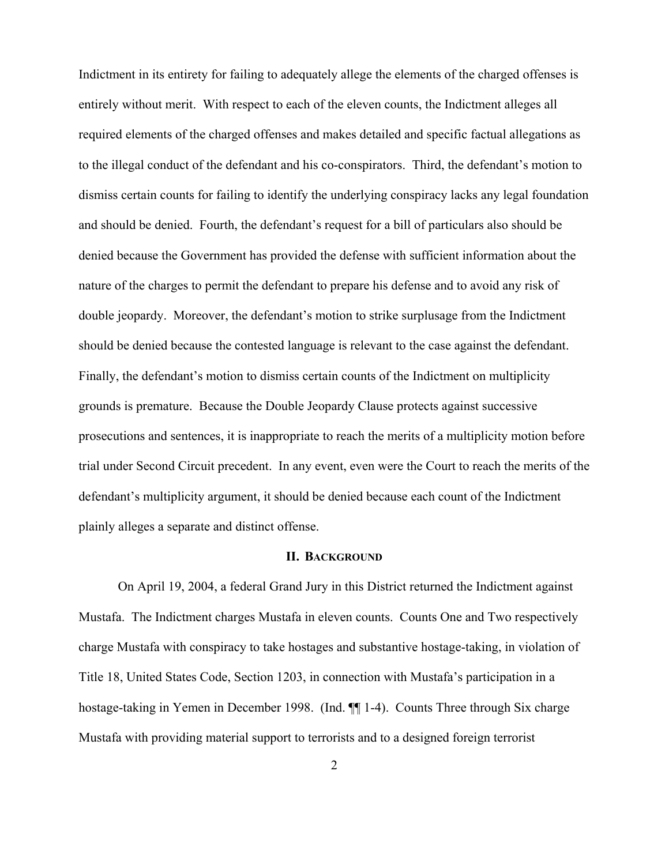Indictment in its entirety for failing to adequately allege the elements of the charged offenses is entirely without merit. With respect to each of the eleven counts, the Indictment alleges all required elements of the charged offenses and makes detailed and specific factual allegations as to the illegal conduct of the defendant and his co-conspirators. Third, the defendant's motion to dismiss certain counts for failing to identify the underlying conspiracy lacks any legal foundation and should be denied. Fourth, the defendant's request for a bill of particulars also should be denied because the Government has provided the defense with sufficient information about the nature of the charges to permit the defendant to prepare his defense and to avoid any risk of double jeopardy. Moreover, the defendant's motion to strike surplusage from the Indictment should be denied because the contested language is relevant to the case against the defendant. Finally, the defendant's motion to dismiss certain counts of the Indictment on multiplicity grounds is premature. Because the Double Jeopardy Clause protects against successive prosecutions and sentences, it is inappropriate to reach the merits of a multiplicity motion before trial under Second Circuit precedent. In any event, even were the Court to reach the merits of the defendant's multiplicity argument, it should be denied because each count of the Indictment plainly alleges a separate and distinct offense.

#### **II. BACKGROUND**

On April 19, 2004, a federal Grand Jury in this District returned the Indictment against Mustafa. The Indictment charges Mustafa in eleven counts. Counts One and Two respectively charge Mustafa with conspiracy to take hostages and substantive hostage-taking, in violation of Title 18, United States Code, Section 1203, in connection with Mustafa's participation in a hostage-taking in Yemen in December 1998. (Ind.  $\P$ ] 1-4). Counts Three through Six charge Mustafa with providing material support to terrorists and to a designed foreign terrorist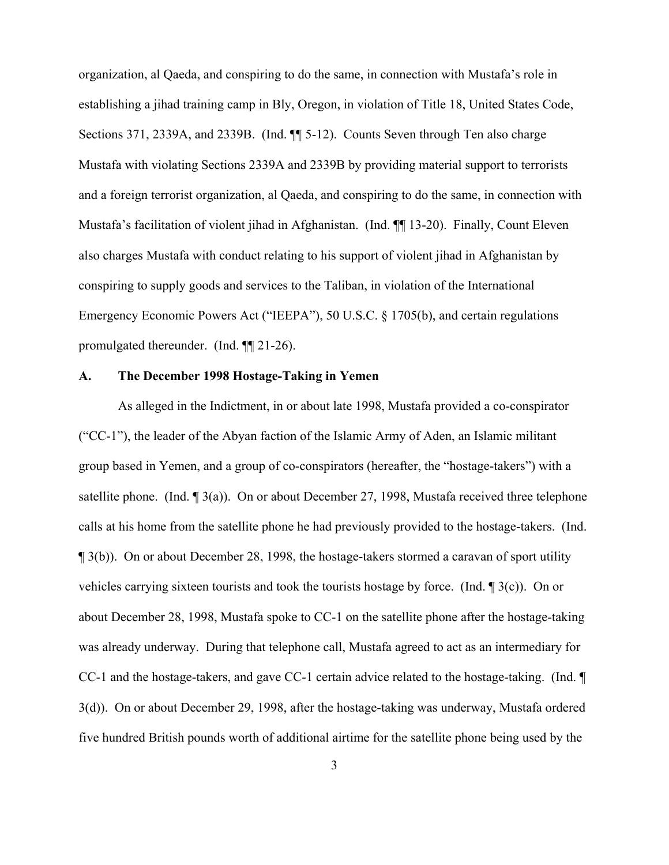organization, al Qaeda, and conspiring to do the same, in connection with Mustafa's role in establishing a jihad training camp in Bly, Oregon, in violation of Title 18, United States Code, Sections 371, 2339A, and 2339B. (Ind. ¶¶ 5-12). Counts Seven through Ten also charge Mustafa with violating Sections 2339A and 2339B by providing material support to terrorists and a foreign terrorist organization, al Qaeda, and conspiring to do the same, in connection with Mustafa's facilitation of violent jihad in Afghanistan. (Ind. ¶¶ 13-20). Finally, Count Eleven also charges Mustafa with conduct relating to his support of violent jihad in Afghanistan by conspiring to supply goods and services to the Taliban, in violation of the International Emergency Economic Powers Act ("IEEPA"), 50 U.S.C. § 1705(b), and certain regulations promulgated thereunder. (Ind. ¶¶ 21-26).

#### **A. The December 1998 Hostage-Taking in Yemen**

As alleged in the Indictment, in or about late 1998, Mustafa provided a co-conspirator ("CC-1"), the leader of the Abyan faction of the Islamic Army of Aden, an Islamic militant group based in Yemen, and a group of co-conspirators (hereafter, the "hostage-takers") with a satellite phone. (Ind. ¶ 3(a)). On or about December 27, 1998, Mustafa received three telephone calls at his home from the satellite phone he had previously provided to the hostage-takers. (Ind. ¶ 3(b)). On or about December 28, 1998, the hostage-takers stormed a caravan of sport utility vehicles carrying sixteen tourists and took the tourists hostage by force. (Ind. ¶ 3(c)). On or about December 28, 1998, Mustafa spoke to CC-1 on the satellite phone after the hostage-taking was already underway. During that telephone call, Mustafa agreed to act as an intermediary for CC-1 and the hostage-takers, and gave CC-1 certain advice related to the hostage-taking. (Ind. ¶ 3(d)). On or about December 29, 1998, after the hostage-taking was underway, Mustafa ordered five hundred British pounds worth of additional airtime for the satellite phone being used by the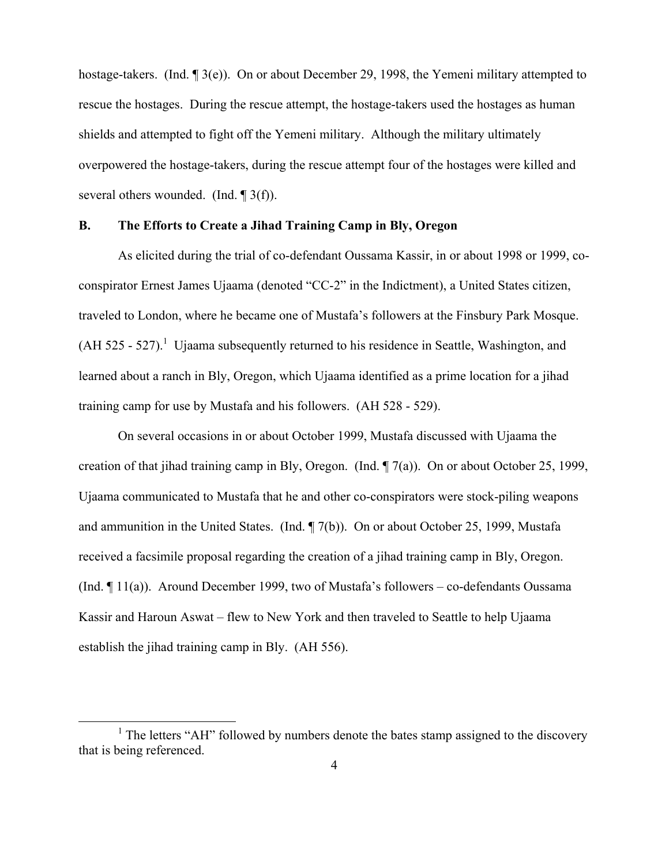hostage-takers. (Ind. ¶ 3(e)). On or about December 29, 1998, the Yemeni military attempted to rescue the hostages. During the rescue attempt, the hostage-takers used the hostages as human shields and attempted to fight off the Yemeni military. Although the military ultimately overpowered the hostage-takers, during the rescue attempt four of the hostages were killed and several others wounded. (Ind. ¶ 3(f)).

## **B. The Efforts to Create a Jihad Training Camp in Bly, Oregon**

As elicited during the trial of co-defendant Oussama Kassir, in or about 1998 or 1999, coconspirator Ernest James Ujaama (denoted "CC-2" in the Indictment), a United States citizen, traveled to London, where he became one of Mustafa's followers at the Finsbury Park Mosque.  $(AH 525 - 527).$ <sup>1</sup> Ujaama subsequently returned to his residence in Seattle, Washington, and learned about a ranch in Bly, Oregon, which Ujaama identified as a prime location for a jihad training camp for use by Mustafa and his followers. (AH 528 - 529).

On several occasions in or about October 1999, Mustafa discussed with Ujaama the creation of that jihad training camp in Bly, Oregon. (Ind. ¶ 7(a)). On or about October 25, 1999, Ujaama communicated to Mustafa that he and other co-conspirators were stock-piling weapons and ammunition in the United States. (Ind. ¶ 7(b)). On or about October 25, 1999, Mustafa received a facsimile proposal regarding the creation of a jihad training camp in Bly, Oregon. (Ind. ¶ 11(a)). Around December 1999, two of Mustafa's followers – co-defendants Oussama Kassir and Haroun Aswat – flew to New York and then traveled to Seattle to help Ujaama establish the jihad training camp in Bly. (AH 556).

<sup>&</sup>lt;sup>1</sup> The letters "AH" followed by numbers denote the bates stamp assigned to the discovery that is being referenced.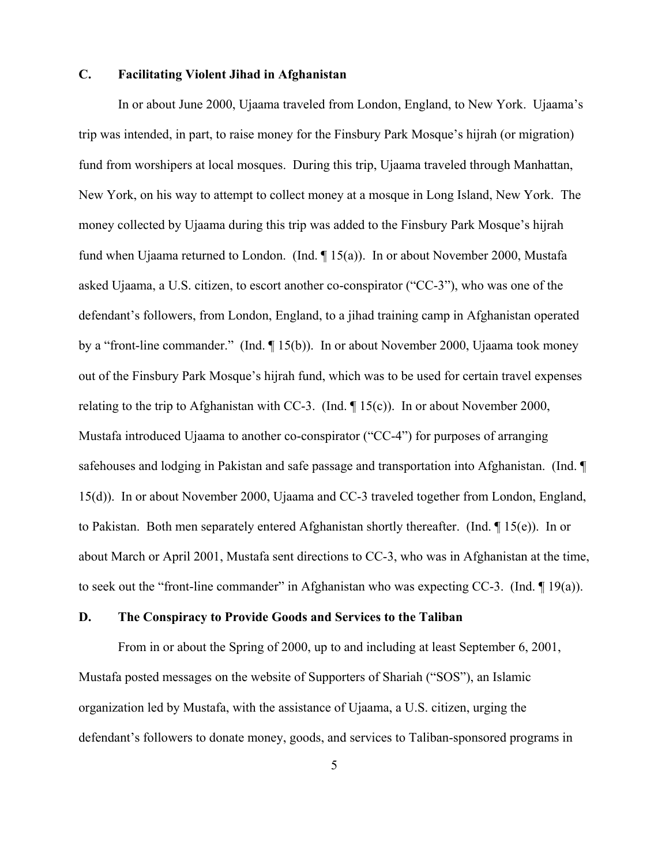### **C. Facilitating Violent Jihad in Afghanistan**

In or about June 2000, Ujaama traveled from London, England, to New York. Ujaama's trip was intended, in part, to raise money for the Finsbury Park Mosque's hijrah (or migration) fund from worshipers at local mosques. During this trip, Ujaama traveled through Manhattan, New York, on his way to attempt to collect money at a mosque in Long Island, New York. The money collected by Ujaama during this trip was added to the Finsbury Park Mosque's hijrah fund when Ujaama returned to London. (Ind. ¶ 15(a)). In or about November 2000, Mustafa asked Ujaama, a U.S. citizen, to escort another co-conspirator ("CC-3"), who was one of the defendant's followers, from London, England, to a jihad training camp in Afghanistan operated by a "front-line commander." (Ind. ¶ 15(b)). In or about November 2000, Ujaama took money out of the Finsbury Park Mosque's hijrah fund, which was to be used for certain travel expenses relating to the trip to Afghanistan with CC-3. (Ind. ¶ 15(c)). In or about November 2000, Mustafa introduced Ujaama to another co-conspirator ("CC-4") for purposes of arranging safehouses and lodging in Pakistan and safe passage and transportation into Afghanistan. (Ind. ¶ 15(d)). In or about November 2000, Ujaama and CC-3 traveled together from London, England, to Pakistan. Both men separately entered Afghanistan shortly thereafter. (Ind. ¶ 15(e)). In or about March or April 2001, Mustafa sent directions to CC-3, who was in Afghanistan at the time, to seek out the "front-line commander" in Afghanistan who was expecting CC-3. (Ind. ¶ 19(a)).

## **D. The Conspiracy to Provide Goods and Services to the Taliban**

From in or about the Spring of 2000, up to and including at least September 6, 2001, Mustafa posted messages on the website of Supporters of Shariah ("SOS"), an Islamic organization led by Mustafa, with the assistance of Ujaama, a U.S. citizen, urging the defendant's followers to donate money, goods, and services to Taliban-sponsored programs in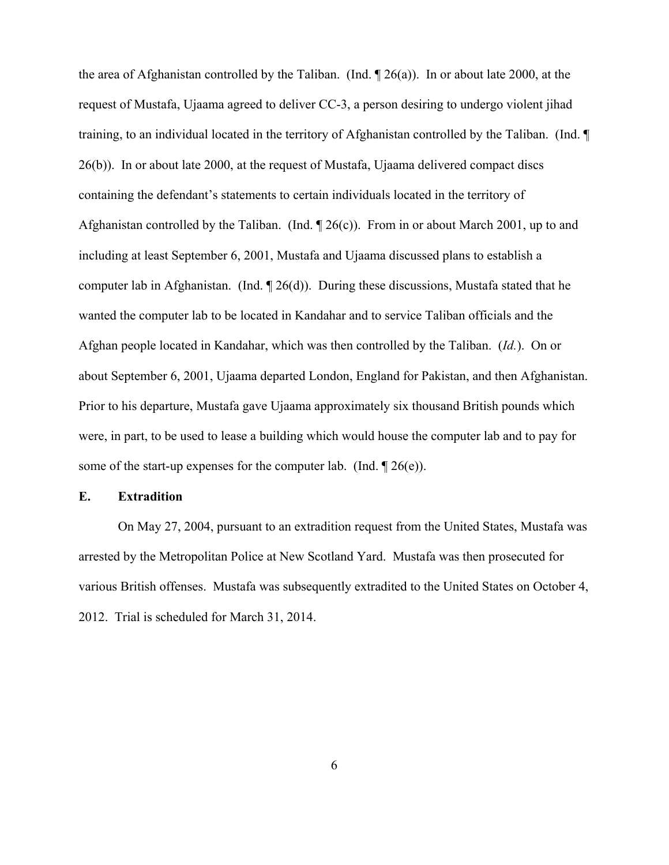the area of Afghanistan controlled by the Taliban. (Ind. ¶ 26(a)). In or about late 2000, at the request of Mustafa, Ujaama agreed to deliver CC-3, a person desiring to undergo violent jihad training, to an individual located in the territory of Afghanistan controlled by the Taliban. (Ind. ¶ 26(b)). In or about late 2000, at the request of Mustafa, Ujaama delivered compact discs containing the defendant's statements to certain individuals located in the territory of Afghanistan controlled by the Taliban. (Ind.  $\P$  26(c)). From in or about March 2001, up to and including at least September 6, 2001, Mustafa and Ujaama discussed plans to establish a computer lab in Afghanistan. (Ind. ¶ 26(d)). During these discussions, Mustafa stated that he wanted the computer lab to be located in Kandahar and to service Taliban officials and the Afghan people located in Kandahar, which was then controlled by the Taliban. (*Id.*). On or about September 6, 2001, Ujaama departed London, England for Pakistan, and then Afghanistan. Prior to his departure, Mustafa gave Ujaama approximately six thousand British pounds which were, in part, to be used to lease a building which would house the computer lab and to pay for some of the start-up expenses for the computer lab. (Ind.  $\mathcal{P}(e)$ ).

### **E. Extradition**

On May 27, 2004, pursuant to an extradition request from the United States, Mustafa was arrested by the Metropolitan Police at New Scotland Yard. Mustafa was then prosecuted for various British offenses. Mustafa was subsequently extradited to the United States on October 4, 2012. Trial is scheduled for March 31, 2014.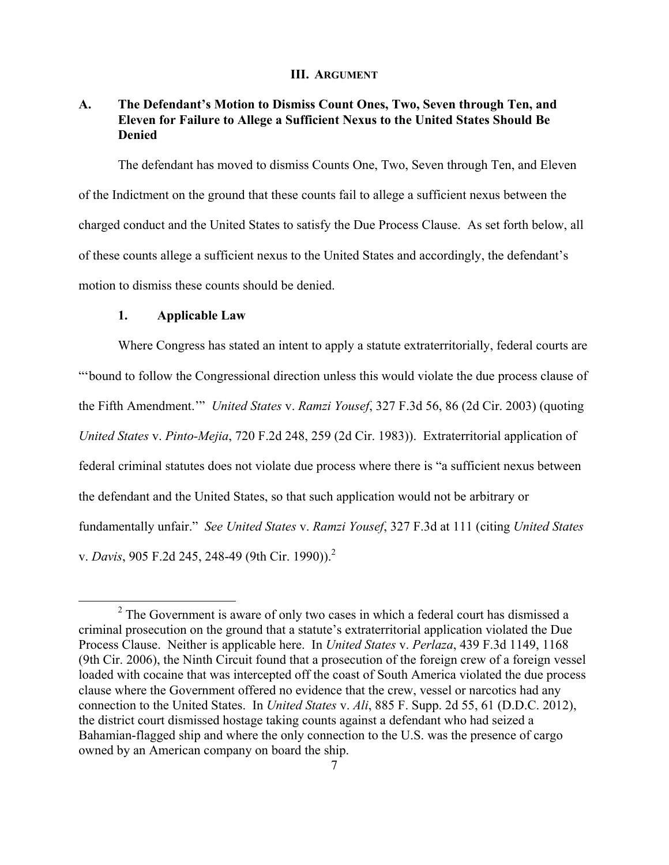#### **III. ARGUMENT**

## **A. The Defendant's Motion to Dismiss Count Ones, Two, Seven through Ten, and Eleven for Failure to Allege a Sufficient Nexus to the United States Should Be Denied**

The defendant has moved to dismiss Counts One, Two, Seven through Ten, and Eleven of the Indictment on the ground that these counts fail to allege a sufficient nexus between the charged conduct and the United States to satisfy the Due Process Clause. As set forth below, all of these counts allege a sufficient nexus to the United States and accordingly, the defendant's motion to dismiss these counts should be denied.

#### **1. Applicable Law**

Where Congress has stated an intent to apply a statute extraterritorially, federal courts are "'bound to follow the Congressional direction unless this would violate the due process clause of the Fifth Amendment.'" *United States* v. *Ramzi Yousef*, 327 F.3d 56, 86 (2d Cir. 2003) (quoting *United States* v. *Pinto-Mejia*, 720 F.2d 248, 259 (2d Cir. 1983)). Extraterritorial application of federal criminal statutes does not violate due process where there is "a sufficient nexus between the defendant and the United States, so that such application would not be arbitrary or fundamentally unfair." *See United States* v. *Ramzi Yousef*, 327 F.3d at 111 (citing *United States* v. *Davis*, 905 F.2d 245, 248-49 (9th Cir. 1990)).<sup>2</sup>

<sup>&</sup>lt;sup>2</sup> The Government is aware of only two cases in which a federal court has dismissed a criminal prosecution on the ground that a statute's extraterritorial application violated the Due Process Clause. Neither is applicable here. In *United States* v. *Perlaza*, 439 F.3d 1149, 1168 (9th Cir. 2006), the Ninth Circuit found that a prosecution of the foreign crew of a foreign vessel loaded with cocaine that was intercepted off the coast of South America violated the due process clause where the Government offered no evidence that the crew, vessel or narcotics had any connection to the United States. In *United States* v. *Ali*, 885 F. Supp. 2d 55, 61 (D.D.C. 2012), the district court dismissed hostage taking counts against a defendant who had seized a Bahamian-flagged ship and where the only connection to the U.S. was the presence of cargo owned by an American company on board the ship.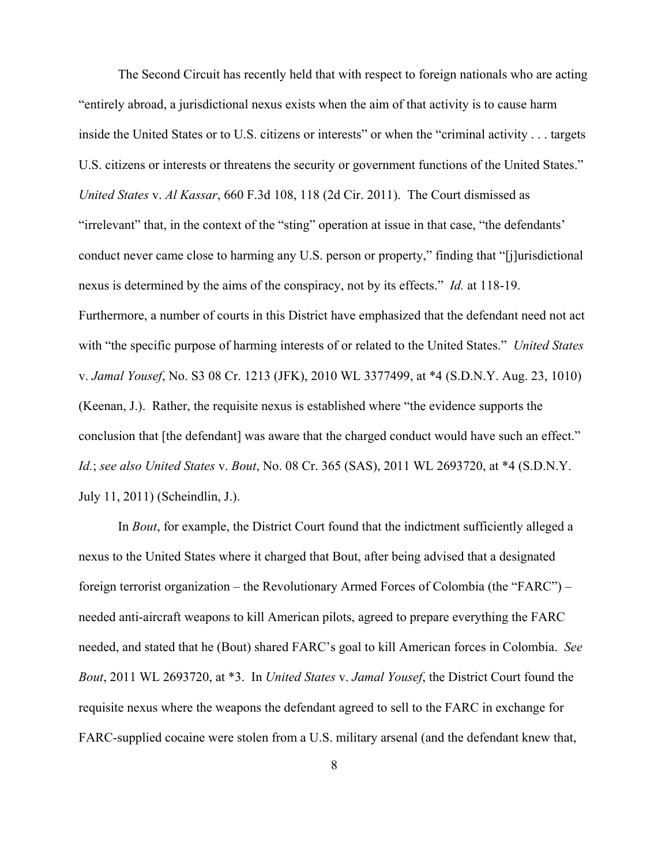The Second Circuit has recently held that with respect to foreign nationals who are acting "entirely abroad, a jurisdictional nexus exists when the aim of that activity is to cause harm inside the United States or to U.S. citizens or interests" or when the "criminal activity . . . targets U.S. citizens or interests or threatens the security or government functions of the United States." *United States* v. *Al Kassar*, 660 F.3d 108, 118 (2d Cir. 2011). The Court dismissed as "irrelevant" that, in the context of the "sting" operation at issue in that case, "the defendants' conduct never came close to harming any U.S. person or property," finding that "[j]urisdictional nexus is determined by the aims of the conspiracy, not by its effects." *Id.* at 118-19. Furthermore, a number of courts in this District have emphasized that the defendant need not act with "the specific purpose of harming interests of or related to the United States." *United States* v. *Jamal Yousef*, No. S3 08 Cr. 1213 (JFK), 2010 WL 3377499, at \*4 (S.D.N.Y. Aug. 23, 1010) (Keenan, J.). Rather, the requisite nexus is established where "the evidence supports the conclusion that [the defendant] was aware that the charged conduct would have such an effect." *Id.*; *see also United States* v. *Bout*, No. 08 Cr. 365 (SAS), 2011 WL 2693720, at \*4 (S.D.N.Y. July 11, 2011) (Scheindlin, J.).

In *Bout*, for example, the District Court found that the indictment sufficiently alleged a nexus to the United States where it charged that Bout, after being advised that a designated foreign terrorist organization – the Revolutionary Armed Forces of Colombia (the "FARC") – needed anti-aircraft weapons to kill American pilots, agreed to prepare everything the FARC needed, and stated that he (Bout) shared FARC's goal to kill American forces in Colombia. *See Bout*, 2011 WL 2693720, at \*3. In *United States* v. *Jamal Yousef*, the District Court found the requisite nexus where the weapons the defendant agreed to sell to the FARC in exchange for FARC-supplied cocaine were stolen from a U.S. military arsenal (and the defendant knew that,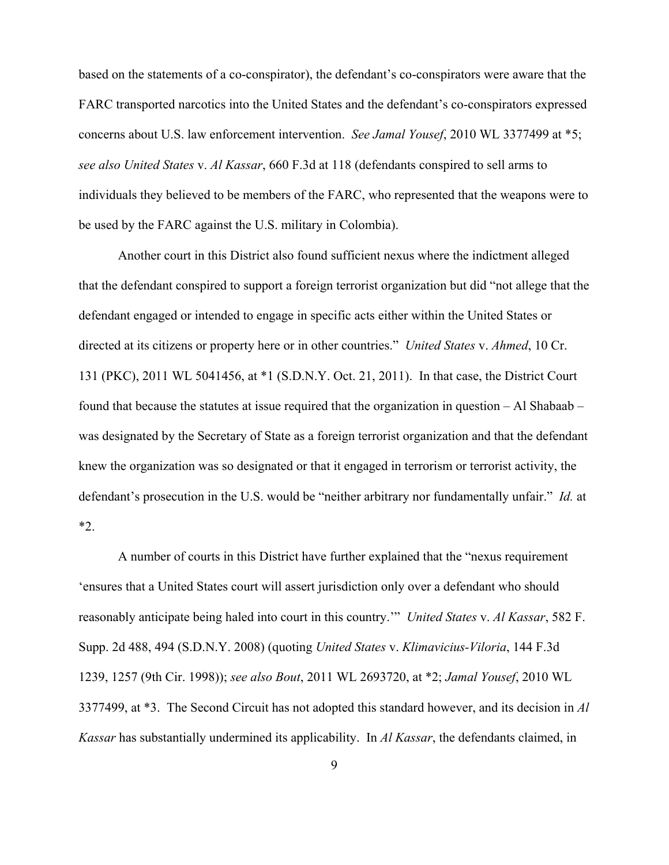based on the statements of a co-conspirator), the defendant's co-conspirators were aware that the FARC transported narcotics into the United States and the defendant's co-conspirators expressed concerns about U.S. law enforcement intervention. *See Jamal Yousef*, 2010 WL 3377499 at \*5; *see also United States* v. *Al Kassar*, 660 F.3d at 118 (defendants conspired to sell arms to individuals they believed to be members of the FARC, who represented that the weapons were to be used by the FARC against the U.S. military in Colombia).

Another court in this District also found sufficient nexus where the indictment alleged that the defendant conspired to support a foreign terrorist organization but did "not allege that the defendant engaged or intended to engage in specific acts either within the United States or directed at its citizens or property here or in other countries." *United States* v. *Ahmed*, 10 Cr. 131 (PKC), 2011 WL 5041456, at \*1 (S.D.N.Y. Oct. 21, 2011). In that case, the District Court found that because the statutes at issue required that the organization in question – Al Shabaab – was designated by the Secretary of State as a foreign terrorist organization and that the defendant knew the organization was so designated or that it engaged in terrorism or terrorist activity, the defendant's prosecution in the U.S. would be "neither arbitrary nor fundamentally unfair." *Id.* at \*2.

A number of courts in this District have further explained that the "nexus requirement 'ensures that a United States court will assert jurisdiction only over a defendant who should reasonably anticipate being haled into court in this country.'" *United States* v. *Al Kassar*, 582 F. Supp. 2d 488, 494 (S.D.N.Y. 2008) (quoting *United States* v. *Klimavicius-Viloria*, 144 F.3d 1239, 1257 (9th Cir. 1998)); *see also Bout*, 2011 WL 2693720, at \*2; *Jamal Yousef*, 2010 WL 3377499, at \*3. The Second Circuit has not adopted this standard however, and its decision in *Al Kassar* has substantially undermined its applicability. In *Al Kassar*, the defendants claimed, in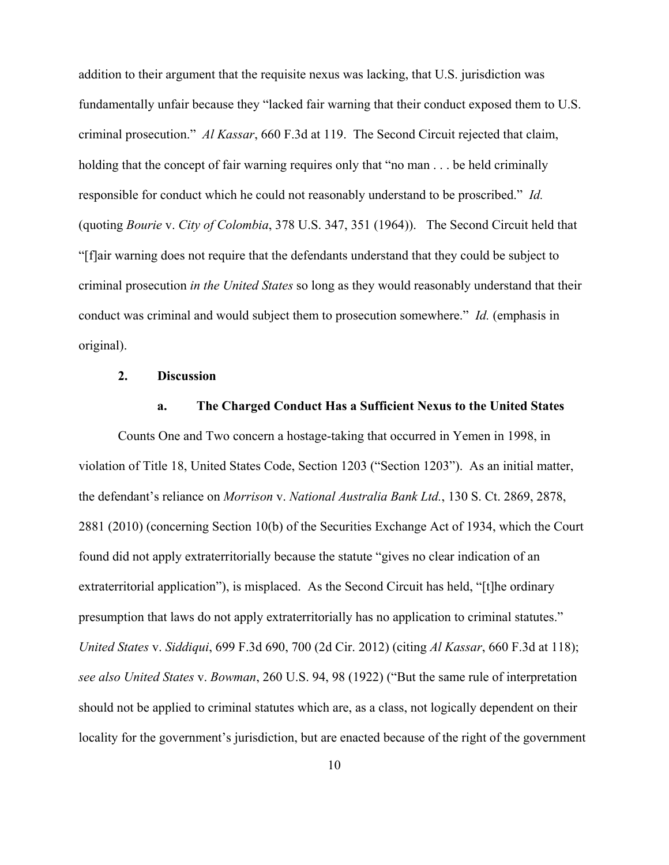addition to their argument that the requisite nexus was lacking, that U.S. jurisdiction was fundamentally unfair because they "lacked fair warning that their conduct exposed them to U.S. criminal prosecution." *Al Kassar*, 660 F.3d at 119. The Second Circuit rejected that claim, holding that the concept of fair warning requires only that "no man . . . be held criminally responsible for conduct which he could not reasonably understand to be proscribed." *Id.* (quoting *Bourie* v. *City of Colombia*, 378 U.S. 347, 351 (1964)). The Second Circuit held that "[f]air warning does not require that the defendants understand that they could be subject to criminal prosecution *in the United States* so long as they would reasonably understand that their conduct was criminal and would subject them to prosecution somewhere." *Id.* (emphasis in original).

### **2. Discussion**

#### **a. The Charged Conduct Has a Sufficient Nexus to the United States**

Counts One and Two concern a hostage-taking that occurred in Yemen in 1998, in violation of Title 18, United States Code, Section 1203 ("Section 1203"). As an initial matter, the defendant's reliance on *Morrison* v. *National Australia Bank Ltd.*, 130 S. Ct. 2869, 2878, 2881 (2010) (concerning Section 10(b) of the Securities Exchange Act of 1934, which the Court found did not apply extraterritorially because the statute "gives no clear indication of an extraterritorial application"), is misplaced. As the Second Circuit has held, "[t]he ordinary presumption that laws do not apply extraterritorially has no application to criminal statutes." *United States* v. *Siddiqui*, 699 F.3d 690, 700 (2d Cir. 2012) (citing *Al Kassar*, 660 F.3d at 118); *see also United States* v. *Bowman*, 260 U.S. 94, 98 (1922) ("But the same rule of interpretation should not be applied to criminal statutes which are, as a class, not logically dependent on their locality for the government's jurisdiction, but are enacted because of the right of the government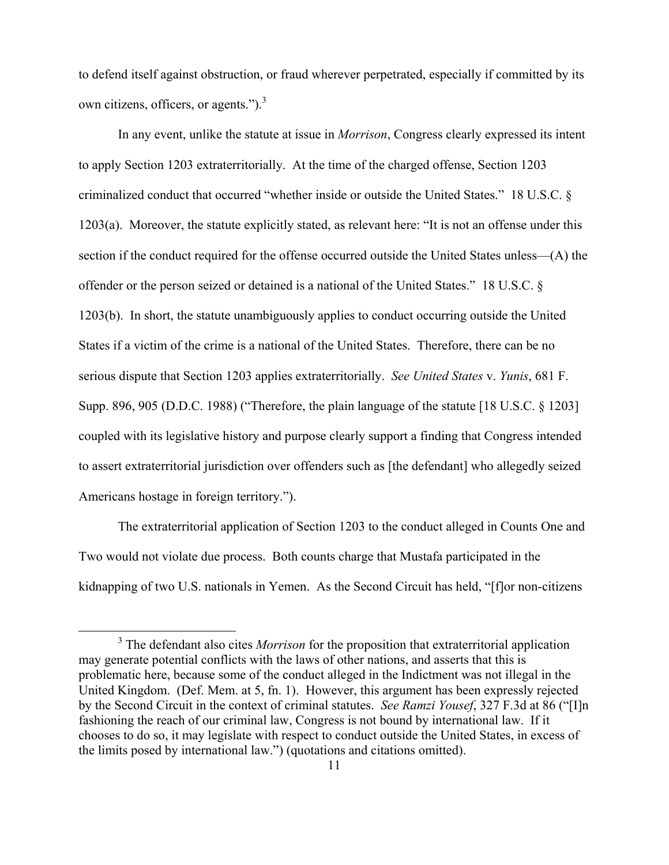to defend itself against obstruction, or fraud wherever perpetrated, especially if committed by its own citizens, officers, or agents."). $3$ 

In any event, unlike the statute at issue in *Morrison*, Congress clearly expressed its intent to apply Section 1203 extraterritorially. At the time of the charged offense, Section 1203 criminalized conduct that occurred "whether inside or outside the United States." 18 U.S.C. § 1203(a). Moreover, the statute explicitly stated, as relevant here: "It is not an offense under this section if the conduct required for the offense occurred outside the United States unless—(A) the offender or the person seized or detained is a national of the United States." 18 U.S.C. § 1203(b). In short, the statute unambiguously applies to conduct occurring outside the United States if a victim of the crime is a national of the United States. Therefore, there can be no serious dispute that Section 1203 applies extraterritorially. *See United States* v. *Yunis*, 681 F. Supp. 896, 905 (D.D.C. 1988) ("Therefore, the plain language of the statute [18 U.S.C. § 1203] coupled with its legislative history and purpose clearly support a finding that Congress intended to assert extraterritorial jurisdiction over offenders such as [the defendant] who allegedly seized Americans hostage in foreign territory.").

The extraterritorial application of Section 1203 to the conduct alleged in Counts One and Two would not violate due process. Both counts charge that Mustafa participated in the kidnapping of two U.S. nationals in Yemen. As the Second Circuit has held, "[f]or non-citizens

<sup>&</sup>lt;sup>3</sup> The defendant also cites *Morrison* for the proposition that extraterritorial application may generate potential conflicts with the laws of other nations, and asserts that this is problematic here, because some of the conduct alleged in the Indictment was not illegal in the United Kingdom. (Def. Mem. at 5, fn. 1). However, this argument has been expressly rejected by the Second Circuit in the context of criminal statutes. *See Ramzi Yousef*, 327 F.3d at 86 ("[I]n fashioning the reach of our criminal law, Congress is not bound by international law. If it chooses to do so, it may legislate with respect to conduct outside the United States, in excess of the limits posed by international law.") (quotations and citations omitted).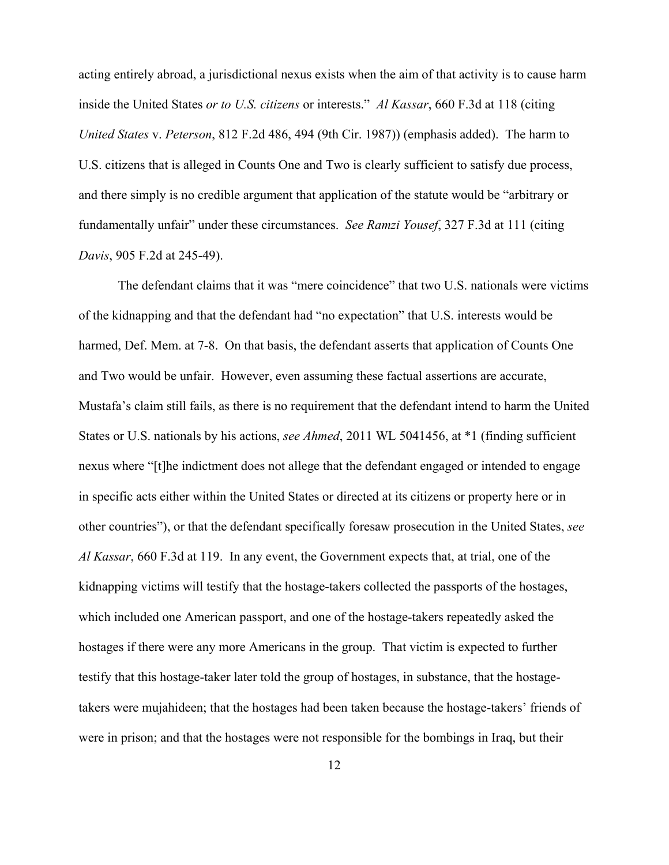acting entirely abroad, a jurisdictional nexus exists when the aim of that activity is to cause harm inside the United States *or to U.S. citizens* or interests." *Al Kassar*, 660 F.3d at 118 (citing *United States* v. *Peterson*, 812 F.2d 486, 494 (9th Cir. 1987)) (emphasis added). The harm to U.S. citizens that is alleged in Counts One and Two is clearly sufficient to satisfy due process, and there simply is no credible argument that application of the statute would be "arbitrary or fundamentally unfair" under these circumstances. *See Ramzi Yousef*, 327 F.3d at 111 (citing *Davis*, 905 F.2d at 245-49).

The defendant claims that it was "mere coincidence" that two U.S. nationals were victims of the kidnapping and that the defendant had "no expectation" that U.S. interests would be harmed, Def. Mem. at 7-8. On that basis, the defendant asserts that application of Counts One and Two would be unfair. However, even assuming these factual assertions are accurate, Mustafa's claim still fails, as there is no requirement that the defendant intend to harm the United States or U.S. nationals by his actions, *see Ahmed*, 2011 WL 5041456, at \*1 (finding sufficient nexus where "[t]he indictment does not allege that the defendant engaged or intended to engage in specific acts either within the United States or directed at its citizens or property here or in other countries"), or that the defendant specifically foresaw prosecution in the United States, *see Al Kassar*, 660 F.3d at 119. In any event, the Government expects that, at trial, one of the kidnapping victims will testify that the hostage-takers collected the passports of the hostages, which included one American passport, and one of the hostage-takers repeatedly asked the hostages if there were any more Americans in the group. That victim is expected to further testify that this hostage-taker later told the group of hostages, in substance, that the hostagetakers were mujahideen; that the hostages had been taken because the hostage-takers' friends of were in prison; and that the hostages were not responsible for the bombings in Iraq, but their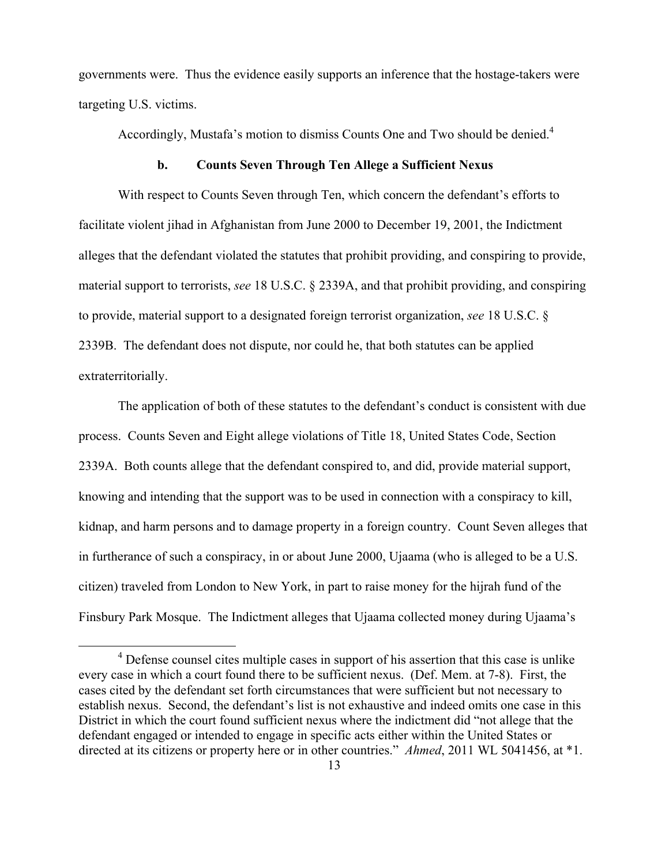governments were. Thus the evidence easily supports an inference that the hostage-takers were targeting U.S. victims.

Accordingly, Mustafa's motion to dismiss Counts One and Two should be denied.<sup>4</sup>

#### **b. Counts Seven Through Ten Allege a Sufficient Nexus**

With respect to Counts Seven through Ten, which concern the defendant's efforts to facilitate violent jihad in Afghanistan from June 2000 to December 19, 2001, the Indictment alleges that the defendant violated the statutes that prohibit providing, and conspiring to provide, material support to terrorists, *see* 18 U.S.C. § 2339A, and that prohibit providing, and conspiring to provide, material support to a designated foreign terrorist organization, *see* 18 U.S.C. § 2339B. The defendant does not dispute, nor could he, that both statutes can be applied extraterritorially.

The application of both of these statutes to the defendant's conduct is consistent with due process. Counts Seven and Eight allege violations of Title 18, United States Code, Section 2339A. Both counts allege that the defendant conspired to, and did, provide material support, knowing and intending that the support was to be used in connection with a conspiracy to kill, kidnap, and harm persons and to damage property in a foreign country. Count Seven alleges that in furtherance of such a conspiracy, in or about June 2000, Ujaama (who is alleged to be a U.S. citizen) traveled from London to New York, in part to raise money for the hijrah fund of the Finsbury Park Mosque. The Indictment alleges that Ujaama collected money during Ujaama's

<sup>&</sup>lt;sup>4</sup> Defense counsel cites multiple cases in support of his assertion that this case is unlike every case in which a court found there to be sufficient nexus. (Def. Mem. at 7-8). First, the cases cited by the defendant set forth circumstances that were sufficient but not necessary to establish nexus. Second, the defendant's list is not exhaustive and indeed omits one case in this District in which the court found sufficient nexus where the indictment did "not allege that the defendant engaged or intended to engage in specific acts either within the United States or directed at its citizens or property here or in other countries." *Ahmed*, 2011 WL 5041456, at \*1.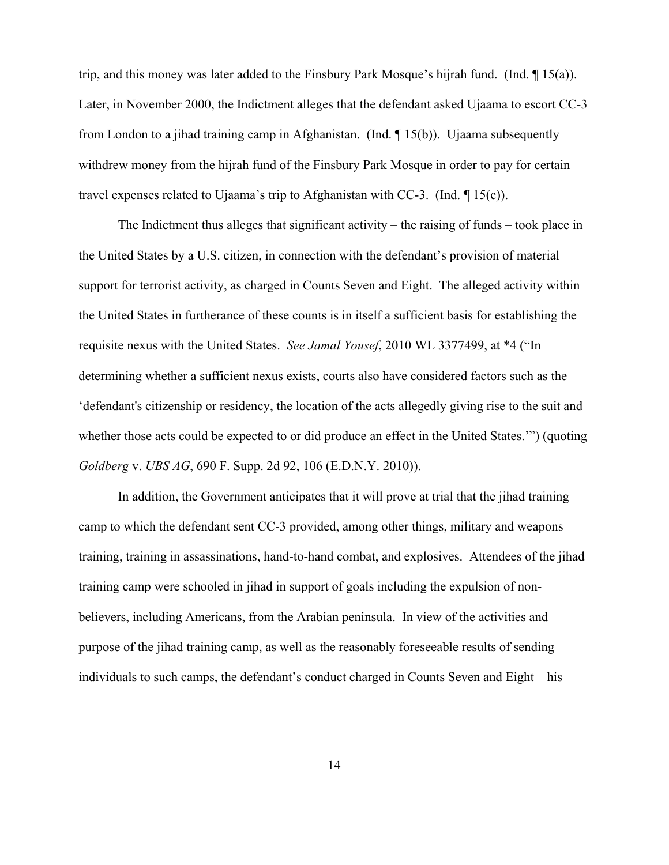trip, and this money was later added to the Finsbury Park Mosque's hijrah fund. (Ind. ¶ 15(a)). Later, in November 2000, the Indictment alleges that the defendant asked Ujaama to escort CC-3 from London to a jihad training camp in Afghanistan. (Ind. ¶ 15(b)). Ujaama subsequently withdrew money from the hijrah fund of the Finsbury Park Mosque in order to pay for certain travel expenses related to Ujaama's trip to Afghanistan with CC-3. (Ind. ¶ 15(c)).

The Indictment thus alleges that significant activity – the raising of funds – took place in the United States by a U.S. citizen, in connection with the defendant's provision of material support for terrorist activity, as charged in Counts Seven and Eight. The alleged activity within the United States in furtherance of these counts is in itself a sufficient basis for establishing the requisite nexus with the United States. *See Jamal Yousef*, 2010 WL 3377499, at \*4 ("In determining whether a sufficient nexus exists, courts also have considered factors such as the 'defendant's citizenship or residency, the location of the acts allegedly giving rise to the suit and whether those acts could be expected to or did produce an effect in the United States.'") (quoting *Goldberg* v. *UBS AG*, 690 F. Supp. 2d 92, 106 (E.D.N.Y. 2010)).

In addition, the Government anticipates that it will prove at trial that the jihad training camp to which the defendant sent CC-3 provided, among other things, military and weapons training, training in assassinations, hand-to-hand combat, and explosives. Attendees of the jihad training camp were schooled in jihad in support of goals including the expulsion of nonbelievers, including Americans, from the Arabian peninsula. In view of the activities and purpose of the jihad training camp, as well as the reasonably foreseeable results of sending individuals to such camps, the defendant's conduct charged in Counts Seven and Eight – his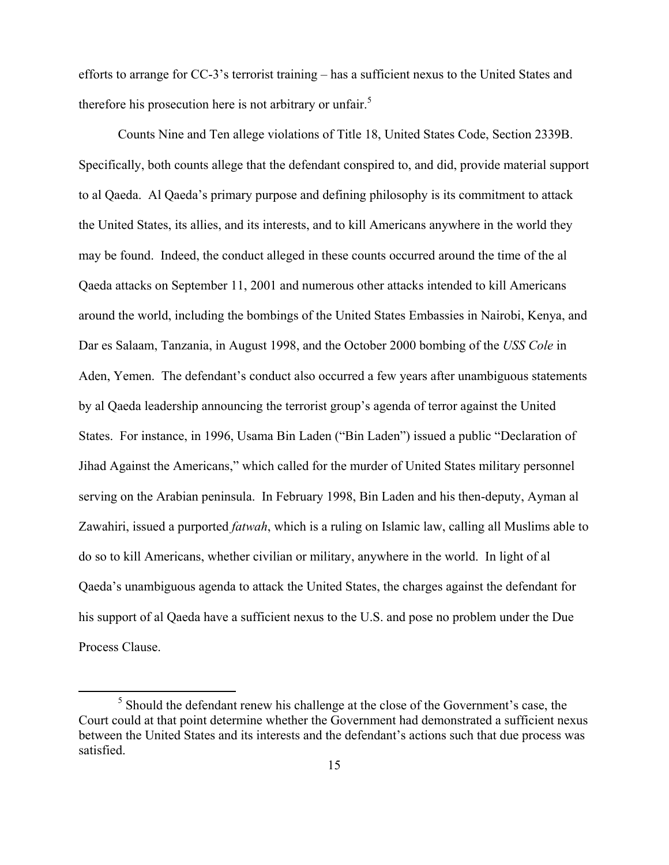efforts to arrange for CC-3's terrorist training – has a sufficient nexus to the United States and therefore his prosecution here is not arbitrary or unfair.<sup>5</sup>

Counts Nine and Ten allege violations of Title 18, United States Code, Section 2339B. Specifically, both counts allege that the defendant conspired to, and did, provide material support to al Qaeda. Al Qaeda's primary purpose and defining philosophy is its commitment to attack the United States, its allies, and its interests, and to kill Americans anywhere in the world they may be found. Indeed, the conduct alleged in these counts occurred around the time of the al Qaeda attacks on September 11, 2001 and numerous other attacks intended to kill Americans around the world, including the bombings of the United States Embassies in Nairobi, Kenya, and Dar es Salaam, Tanzania, in August 1998, and the October 2000 bombing of the *USS Cole* in Aden, Yemen. The defendant's conduct also occurred a few years after unambiguous statements by al Qaeda leadership announcing the terrorist group's agenda of terror against the United States. For instance, in 1996, Usama Bin Laden ("Bin Laden") issued a public "Declaration of Jihad Against the Americans," which called for the murder of United States military personnel serving on the Arabian peninsula. In February 1998, Bin Laden and his then-deputy, Ayman al Zawahiri, issued a purported *fatwah*, which is a ruling on Islamic law, calling all Muslims able to do so to kill Americans, whether civilian or military, anywhere in the world. In light of al Qaeda's unambiguous agenda to attack the United States, the charges against the defendant for his support of al Qaeda have a sufficient nexus to the U.S. and pose no problem under the Due Process Clause.

<sup>&</sup>lt;sup>5</sup> Should the defendant renew his challenge at the close of the Government's case, the Court could at that point determine whether the Government had demonstrated a sufficient nexus between the United States and its interests and the defendant's actions such that due process was satisfied.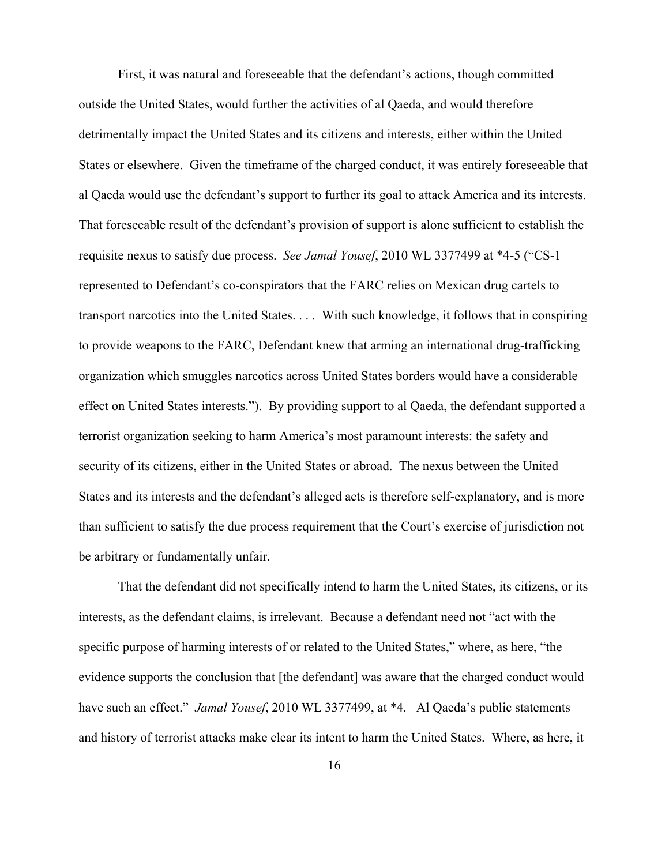First, it was natural and foreseeable that the defendant's actions, though committed outside the United States, would further the activities of al Qaeda, and would therefore detrimentally impact the United States and its citizens and interests, either within the United States or elsewhere. Given the timeframe of the charged conduct, it was entirely foreseeable that al Qaeda would use the defendant's support to further its goal to attack America and its interests. That foreseeable result of the defendant's provision of support is alone sufficient to establish the requisite nexus to satisfy due process. *See Jamal Yousef*, 2010 WL 3377499 at \*4-5 ("CS-1 represented to Defendant's co-conspirators that the FARC relies on Mexican drug cartels to transport narcotics into the United States. . . . With such knowledge, it follows that in conspiring to provide weapons to the FARC, Defendant knew that arming an international drug-trafficking organization which smuggles narcotics across United States borders would have a considerable effect on United States interests."). By providing support to al Qaeda, the defendant supported a terrorist organization seeking to harm America's most paramount interests: the safety and security of its citizens, either in the United States or abroad. The nexus between the United States and its interests and the defendant's alleged acts is therefore self-explanatory, and is more than sufficient to satisfy the due process requirement that the Court's exercise of jurisdiction not be arbitrary or fundamentally unfair.

That the defendant did not specifically intend to harm the United States, its citizens, or its interests, as the defendant claims, is irrelevant. Because a defendant need not "act with the specific purpose of harming interests of or related to the United States," where, as here, "the evidence supports the conclusion that [the defendant] was aware that the charged conduct would have such an effect." *Jamal Yousef*, 2010 WL 3377499, at \*4. Al Qaeda's public statements and history of terrorist attacks make clear its intent to harm the United States. Where, as here, it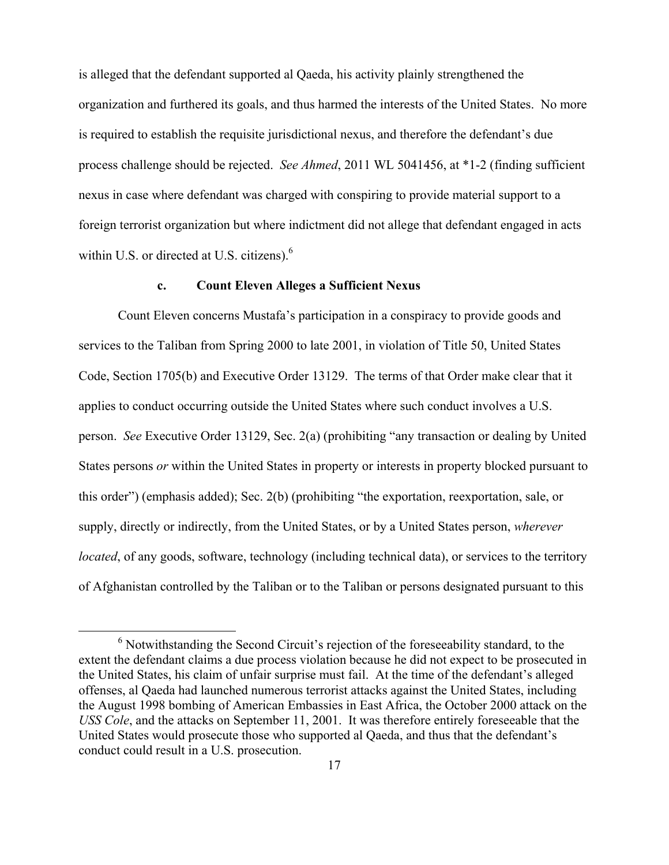is alleged that the defendant supported al Qaeda, his activity plainly strengthened the organization and furthered its goals, and thus harmed the interests of the United States. No more is required to establish the requisite jurisdictional nexus, and therefore the defendant's due process challenge should be rejected. *See Ahmed*, 2011 WL 5041456, at \*1-2 (finding sufficient nexus in case where defendant was charged with conspiring to provide material support to a foreign terrorist organization but where indictment did not allege that defendant engaged in acts within U.S. or directed at U.S. citizens). $<sup>6</sup>$ </sup>

#### **c. Count Eleven Alleges a Sufficient Nexus**

Count Eleven concerns Mustafa's participation in a conspiracy to provide goods and services to the Taliban from Spring 2000 to late 2001, in violation of Title 50, United States Code, Section 1705(b) and Executive Order 13129. The terms of that Order make clear that it applies to conduct occurring outside the United States where such conduct involves a U.S. person. *See* Executive Order 13129, Sec. 2(a) (prohibiting "any transaction or dealing by United States persons *or* within the United States in property or interests in property blocked pursuant to this order") (emphasis added); Sec. 2(b) (prohibiting "the exportation, reexportation, sale, or supply, directly or indirectly, from the United States, or by a United States person, *wherever located*, of any goods, software, technology (including technical data), or services to the territory of Afghanistan controlled by the Taliban or to the Taliban or persons designated pursuant to this

 <sup>6</sup> Notwithstanding the Second Circuit's rejection of the foreseeability standard, to the extent the defendant claims a due process violation because he did not expect to be prosecuted in the United States, his claim of unfair surprise must fail. At the time of the defendant's alleged offenses, al Qaeda had launched numerous terrorist attacks against the United States, including the August 1998 bombing of American Embassies in East Africa, the October 2000 attack on the *USS Cole*, and the attacks on September 11, 2001. It was therefore entirely foreseeable that the United States would prosecute those who supported al Qaeda, and thus that the defendant's conduct could result in a U.S. prosecution.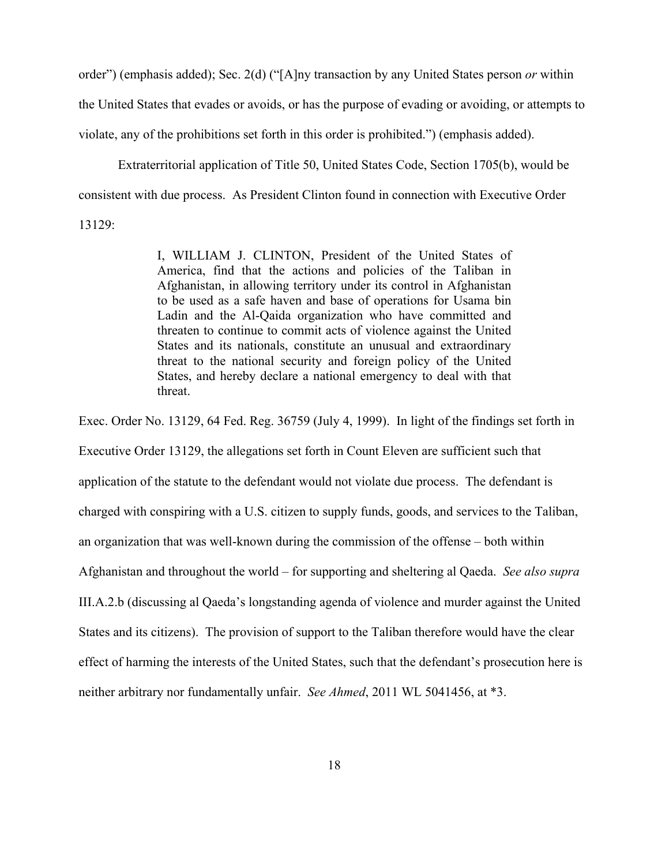order") (emphasis added); Sec. 2(d) ("[A]ny transaction by any United States person *or* within the United States that evades or avoids, or has the purpose of evading or avoiding, or attempts to violate, any of the prohibitions set forth in this order is prohibited.") (emphasis added).

Extraterritorial application of Title 50, United States Code, Section 1705(b), would be consistent with due process. As President Clinton found in connection with Executive Order 13129:

> I, WILLIAM J. CLINTON, President of the United States of America, find that the actions and policies of the Taliban in Afghanistan, in allowing territory under its control in Afghanistan to be used as a safe haven and base of operations for Usama bin Ladin and the Al-Qaida organization who have committed and threaten to continue to commit acts of violence against the United States and its nationals, constitute an unusual and extraordinary threat to the national security and foreign policy of the United States, and hereby declare a national emergency to deal with that threat.

Exec. Order No. 13129, 64 Fed. Reg. 36759 (July 4, 1999). In light of the findings set forth in Executive Order 13129, the allegations set forth in Count Eleven are sufficient such that application of the statute to the defendant would not violate due process. The defendant is charged with conspiring with a U.S. citizen to supply funds, goods, and services to the Taliban, an organization that was well-known during the commission of the offense – both within Afghanistan and throughout the world – for supporting and sheltering al Qaeda. *See also supra*  III.A.2.b (discussing al Qaeda's longstanding agenda of violence and murder against the United States and its citizens). The provision of support to the Taliban therefore would have the clear effect of harming the interests of the United States, such that the defendant's prosecution here is neither arbitrary nor fundamentally unfair. *See Ahmed*, 2011 WL 5041456, at \*3.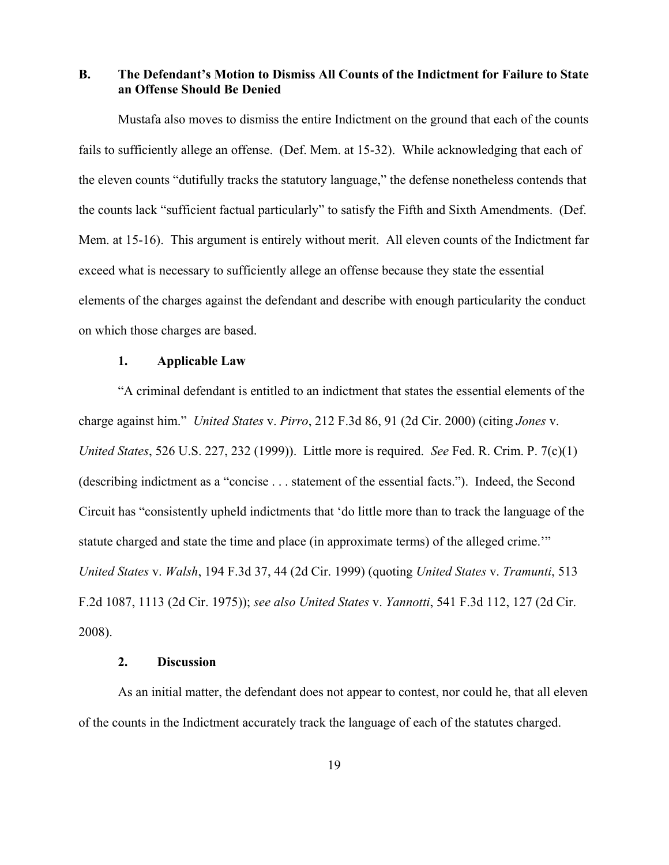**B. The Defendant's Motion to Dismiss All Counts of the Indictment for Failure to State an Offense Should Be Denied** 

Mustafa also moves to dismiss the entire Indictment on the ground that each of the counts fails to sufficiently allege an offense. (Def. Mem. at 15-32). While acknowledging that each of the eleven counts "dutifully tracks the statutory language," the defense nonetheless contends that the counts lack "sufficient factual particularly" to satisfy the Fifth and Sixth Amendments. (Def. Mem. at 15-16). This argument is entirely without merit. All eleven counts of the Indictment far exceed what is necessary to sufficiently allege an offense because they state the essential elements of the charges against the defendant and describe with enough particularity the conduct on which those charges are based.

## **1. Applicable Law**

"A criminal defendant is entitled to an indictment that states the essential elements of the charge against him." *United States* v. *Pirro*, 212 F.3d 86, 91 (2d Cir. 2000) (citing *Jones* v. *United States*, 526 U.S. 227, 232 (1999)). Little more is required. *See* Fed. R. Crim. P. 7(c)(1) (describing indictment as a "concise . . . statement of the essential facts."). Indeed, the Second Circuit has "consistently upheld indictments that 'do little more than to track the language of the statute charged and state the time and place (in approximate terms) of the alleged crime.'" *United States* v. *Walsh*, 194 F.3d 37, 44 (2d Cir. 1999) (quoting *United States* v. *Tramunti*, 513 F.2d 1087, 1113 (2d Cir. 1975)); *see also United States* v. *Yannotti*, 541 F.3d 112, 127 (2d Cir. 2008).

## **2. Discussion**

As an initial matter, the defendant does not appear to contest, nor could he, that all eleven of the counts in the Indictment accurately track the language of each of the statutes charged.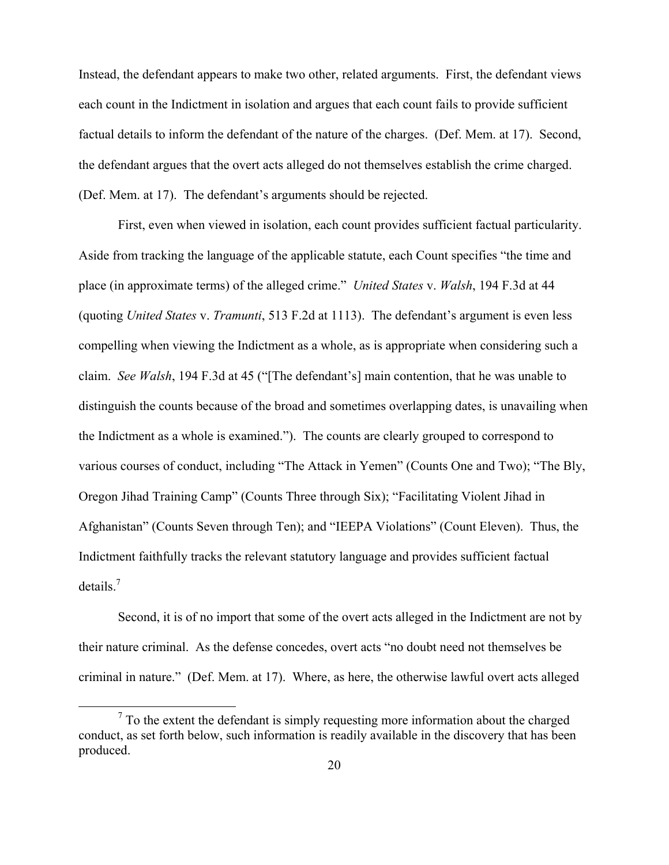Instead, the defendant appears to make two other, related arguments. First, the defendant views each count in the Indictment in isolation and argues that each count fails to provide sufficient factual details to inform the defendant of the nature of the charges. (Def. Mem. at 17). Second, the defendant argues that the overt acts alleged do not themselves establish the crime charged. (Def. Mem. at 17). The defendant's arguments should be rejected.

First, even when viewed in isolation, each count provides sufficient factual particularity. Aside from tracking the language of the applicable statute, each Count specifies "the time and place (in approximate terms) of the alleged crime." *United States* v. *Walsh*, 194 F.3d at 44 (quoting *United States* v. *Tramunti*, 513 F.2d at 1113). The defendant's argument is even less compelling when viewing the Indictment as a whole, as is appropriate when considering such a claim. *See Walsh*, 194 F.3d at 45 ("[The defendant's] main contention, that he was unable to distinguish the counts because of the broad and sometimes overlapping dates, is unavailing when the Indictment as a whole is examined."). The counts are clearly grouped to correspond to various courses of conduct, including "The Attack in Yemen" (Counts One and Two); "The Bly, Oregon Jihad Training Camp" (Counts Three through Six); "Facilitating Violent Jihad in Afghanistan" (Counts Seven through Ten); and "IEEPA Violations" (Count Eleven). Thus, the Indictment faithfully tracks the relevant statutory language and provides sufficient factual details.7

Second, it is of no import that some of the overt acts alleged in the Indictment are not by their nature criminal. As the defense concedes, overt acts "no doubt need not themselves be criminal in nature." (Def. Mem. at 17). Where, as here, the otherwise lawful overt acts alleged

<sup>&</sup>lt;sup>7</sup> To the extent the defendant is simply requesting more information about the charged conduct, as set forth below, such information is readily available in the discovery that has been produced.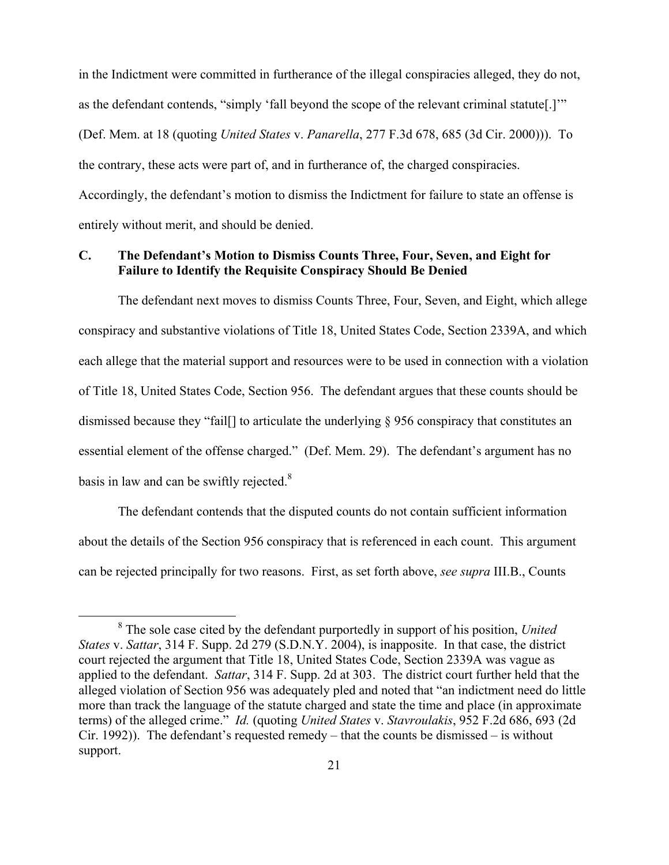in the Indictment were committed in furtherance of the illegal conspiracies alleged, they do not, as the defendant contends, "simply 'fall beyond the scope of the relevant criminal statute[.]'" (Def. Mem. at 18 (quoting *United States* v. *Panarella*, 277 F.3d 678, 685 (3d Cir. 2000))). To the contrary, these acts were part of, and in furtherance of, the charged conspiracies. Accordingly, the defendant's motion to dismiss the Indictment for failure to state an offense is entirely without merit, and should be denied.

## **C. The Defendant's Motion to Dismiss Counts Three, Four, Seven, and Eight for Failure to Identify the Requisite Conspiracy Should Be Denied**

The defendant next moves to dismiss Counts Three, Four, Seven, and Eight, which allege conspiracy and substantive violations of Title 18, United States Code, Section 2339A, and which each allege that the material support and resources were to be used in connection with a violation of Title 18, United States Code, Section 956. The defendant argues that these counts should be dismissed because they "fail[] to articulate the underlying § 956 conspiracy that constitutes an essential element of the offense charged." (Def. Mem. 29). The defendant's argument has no basis in law and can be swiftly rejected. $8$ 

The defendant contends that the disputed counts do not contain sufficient information about the details of the Section 956 conspiracy that is referenced in each count. This argument can be rejected principally for two reasons. First, as set forth above, *see supra* III.B., Counts

<sup>&</sup>lt;sup>8</sup> The sole case cited by the defendant purportedly in support of his position, *United States* v. *Sattar*, 314 F. Supp. 2d 279 (S.D.N.Y. 2004), is inapposite. In that case, the district court rejected the argument that Title 18, United States Code, Section 2339A was vague as applied to the defendant. *Sattar*, 314 F. Supp. 2d at 303. The district court further held that the alleged violation of Section 956 was adequately pled and noted that "an indictment need do little more than track the language of the statute charged and state the time and place (in approximate terms) of the alleged crime." *Id.* (quoting *United States* v. *Stavroulakis*, 952 F.2d 686, 693 (2d Cir. 1992)). The defendant's requested remedy – that the counts be dismissed – is without support.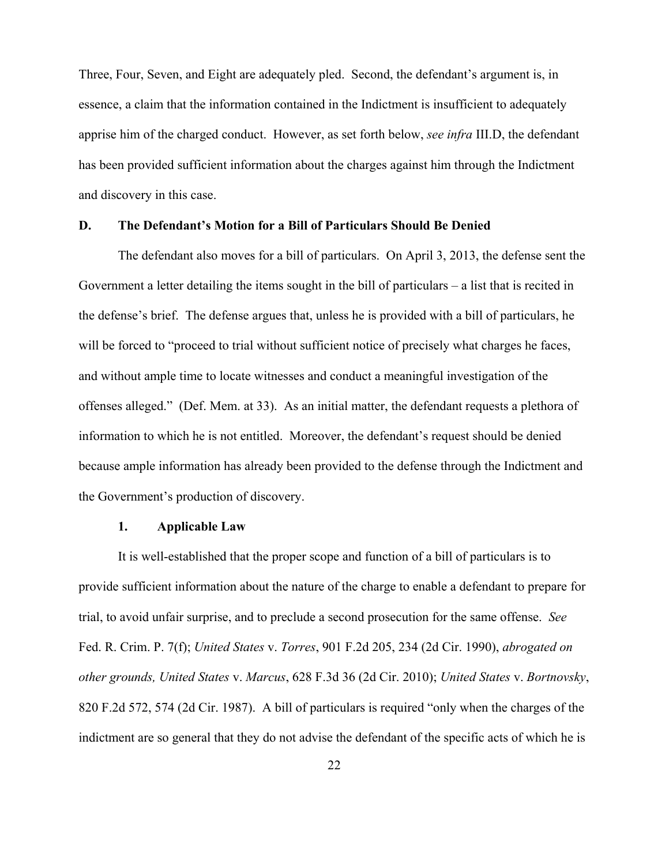Three, Four, Seven, and Eight are adequately pled. Second, the defendant's argument is, in essence, a claim that the information contained in the Indictment is insufficient to adequately apprise him of the charged conduct. However, as set forth below, *see infra* III.D, the defendant has been provided sufficient information about the charges against him through the Indictment and discovery in this case.

#### **D. The Defendant's Motion for a Bill of Particulars Should Be Denied**

The defendant also moves for a bill of particulars. On April 3, 2013, the defense sent the Government a letter detailing the items sought in the bill of particulars – a list that is recited in the defense's brief. The defense argues that, unless he is provided with a bill of particulars, he will be forced to "proceed to trial without sufficient notice of precisely what charges he faces, and without ample time to locate witnesses and conduct a meaningful investigation of the offenses alleged." (Def. Mem. at 33). As an initial matter, the defendant requests a plethora of information to which he is not entitled. Moreover, the defendant's request should be denied because ample information has already been provided to the defense through the Indictment and the Government's production of discovery.

#### **1. Applicable Law**

It is well-established that the proper scope and function of a bill of particulars is to provide sufficient information about the nature of the charge to enable a defendant to prepare for trial, to avoid unfair surprise, and to preclude a second prosecution for the same offense. *See* Fed. R. Crim. P. 7(f); *United States* v. *Torres*, 901 F.2d 205, 234 (2d Cir. 1990), *abrogated on other grounds, United States* v. *Marcus*, 628 F.3d 36 (2d Cir. 2010); *United States* v. *Bortnovsky*, 820 F.2d 572, 574 (2d Cir. 1987). A bill of particulars is required "only when the charges of the indictment are so general that they do not advise the defendant of the specific acts of which he is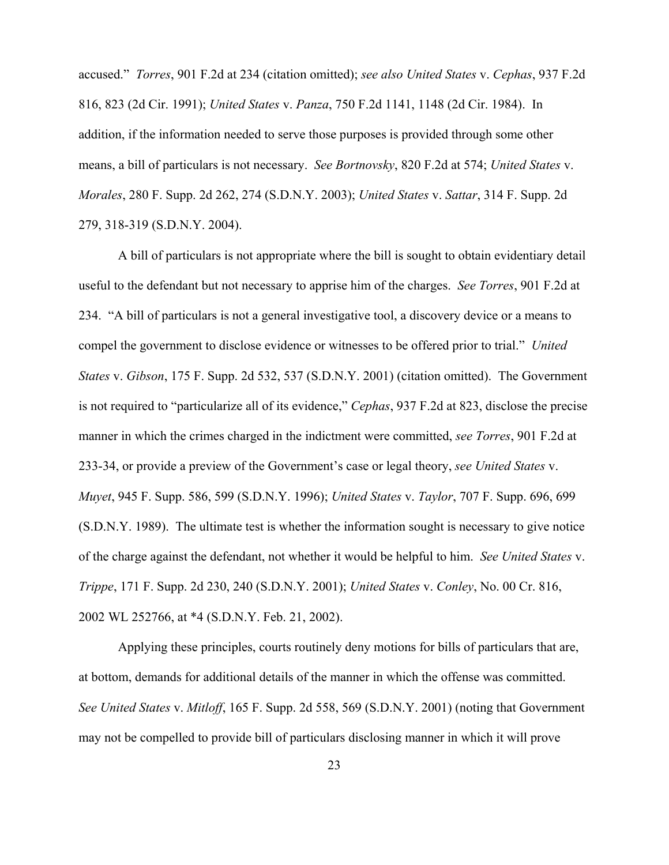accused." *Torres*, 901 F.2d at 234 (citation omitted); *see also United States* v. *Cephas*, 937 F.2d 816, 823 (2d Cir. 1991); *United States* v. *Panza*, 750 F.2d 1141, 1148 (2d Cir. 1984). In addition, if the information needed to serve those purposes is provided through some other means, a bill of particulars is not necessary. *See Bortnovsky*, 820 F.2d at 574; *United States* v. *Morales*, 280 F. Supp. 2d 262, 274 (S.D.N.Y. 2003); *United States* v. *Sattar*, 314 F. Supp. 2d 279, 318-319 (S.D.N.Y. 2004).

A bill of particulars is not appropriate where the bill is sought to obtain evidentiary detail useful to the defendant but not necessary to apprise him of the charges. *See Torres*, 901 F.2d at 234. "A bill of particulars is not a general investigative tool, a discovery device or a means to compel the government to disclose evidence or witnesses to be offered prior to trial." *United States* v. *Gibson*, 175 F. Supp. 2d 532, 537 (S.D.N.Y. 2001) (citation omitted). The Government is not required to "particularize all of its evidence," *Cephas*, 937 F.2d at 823, disclose the precise manner in which the crimes charged in the indictment were committed, *see Torres*, 901 F.2d at 233-34, or provide a preview of the Government's case or legal theory, *see United States* v. *Muyet*, 945 F. Supp. 586, 599 (S.D.N.Y. 1996); *United States* v. *Taylor*, 707 F. Supp. 696, 699 (S.D.N.Y. 1989). The ultimate test is whether the information sought is necessary to give notice of the charge against the defendant, not whether it would be helpful to him. *See United States* v. *Trippe*, 171 F. Supp. 2d 230, 240 (S.D.N.Y. 2001); *United States* v. *Conley*, No. 00 Cr. 816, 2002 WL 252766, at \*4 (S.D.N.Y. Feb. 21, 2002).

Applying these principles, courts routinely deny motions for bills of particulars that are, at bottom, demands for additional details of the manner in which the offense was committed. *See United States* v. *Mitloff*, 165 F. Supp. 2d 558, 569 (S.D.N.Y. 2001) (noting that Government may not be compelled to provide bill of particulars disclosing manner in which it will prove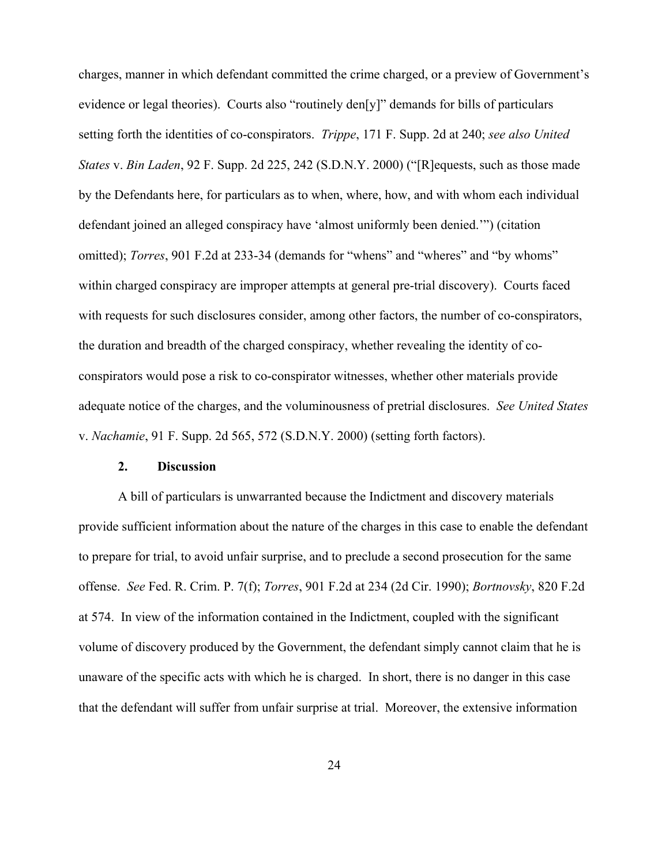charges, manner in which defendant committed the crime charged, or a preview of Government's evidence or legal theories). Courts also "routinely den[y]" demands for bills of particulars setting forth the identities of co-conspirators. *Trippe*, 171 F. Supp. 2d at 240; *see also United States* v. *Bin Laden*, 92 F. Supp. 2d 225, 242 (S.D.N.Y. 2000) ("[R]equests, such as those made by the Defendants here, for particulars as to when, where, how, and with whom each individual defendant joined an alleged conspiracy have 'almost uniformly been denied.'") (citation omitted); *Torres*, 901 F.2d at 233-34 (demands for "whens" and "wheres" and "by whoms" within charged conspiracy are improper attempts at general pre-trial discovery). Courts faced with requests for such disclosures consider, among other factors, the number of co-conspirators, the duration and breadth of the charged conspiracy, whether revealing the identity of coconspirators would pose a risk to co-conspirator witnesses, whether other materials provide adequate notice of the charges, and the voluminousness of pretrial disclosures. *See United States* v. *Nachamie*, 91 F. Supp. 2d 565, 572 (S.D.N.Y. 2000) (setting forth factors).

#### **2. Discussion**

A bill of particulars is unwarranted because the Indictment and discovery materials provide sufficient information about the nature of the charges in this case to enable the defendant to prepare for trial, to avoid unfair surprise, and to preclude a second prosecution for the same offense. *See* Fed. R. Crim. P. 7(f); *Torres*, 901 F.2d at 234 (2d Cir. 1990); *Bortnovsky*, 820 F.2d at 574. In view of the information contained in the Indictment, coupled with the significant volume of discovery produced by the Government, the defendant simply cannot claim that he is unaware of the specific acts with which he is charged. In short, there is no danger in this case that the defendant will suffer from unfair surprise at trial. Moreover, the extensive information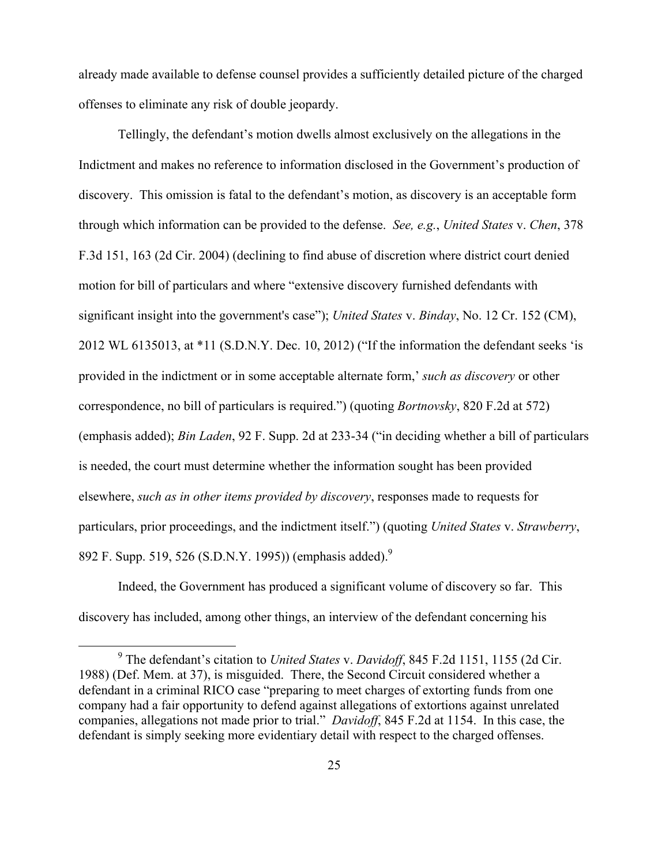already made available to defense counsel provides a sufficiently detailed picture of the charged offenses to eliminate any risk of double jeopardy.

Tellingly, the defendant's motion dwells almost exclusively on the allegations in the Indictment and makes no reference to information disclosed in the Government's production of discovery. This omission is fatal to the defendant's motion, as discovery is an acceptable form through which information can be provided to the defense. *See, e.g.*, *United States* v. *Chen*, 378 F.3d 151, 163 (2d Cir. 2004) (declining to find abuse of discretion where district court denied motion for bill of particulars and where "extensive discovery furnished defendants with significant insight into the government's case"); *United States* v. *Binday*, No. 12 Cr. 152 (CM), 2012 WL 6135013, at \*11 (S.D.N.Y. Dec. 10, 2012) ("If the information the defendant seeks 'is provided in the indictment or in some acceptable alternate form,' *such as discovery* or other correspondence, no bill of particulars is required.") (quoting *Bortnovsky*, 820 F.2d at 572) (emphasis added); *Bin Laden*, 92 F. Supp. 2d at 233-34 ("in deciding whether a bill of particulars is needed, the court must determine whether the information sought has been provided elsewhere, *such as in other items provided by discovery*, responses made to requests for particulars, prior proceedings, and the indictment itself.") (quoting *United States* v. *Strawberry*, 892 F. Supp. 519, 526 (S.D.N.Y. 1995)) (emphasis added).<sup>9</sup>

Indeed, the Government has produced a significant volume of discovery so far. This discovery has included, among other things, an interview of the defendant concerning his

 <sup>9</sup> The defendant's citation to *United States* v. *Davidoff*, 845 F.2d 1151, 1155 (2d Cir. 1988) (Def. Mem. at 37), is misguided. There, the Second Circuit considered whether a defendant in a criminal RICO case "preparing to meet charges of extorting funds from one company had a fair opportunity to defend against allegations of extortions against unrelated companies, allegations not made prior to trial." *Davidoff*, 845 F.2d at 1154. In this case, the defendant is simply seeking more evidentiary detail with respect to the charged offenses.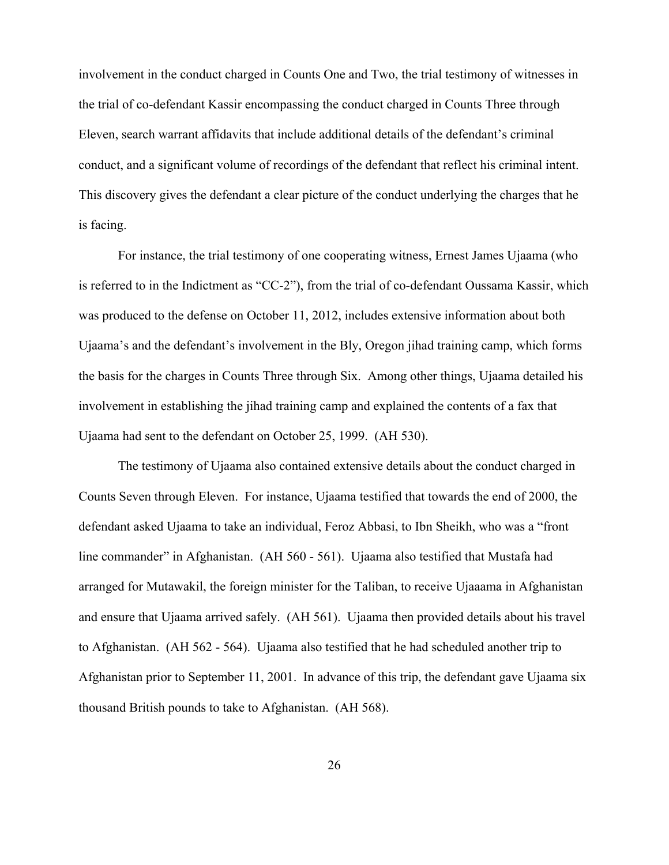involvement in the conduct charged in Counts One and Two, the trial testimony of witnesses in the trial of co-defendant Kassir encompassing the conduct charged in Counts Three through Eleven, search warrant affidavits that include additional details of the defendant's criminal conduct, and a significant volume of recordings of the defendant that reflect his criminal intent. This discovery gives the defendant a clear picture of the conduct underlying the charges that he is facing.

For instance, the trial testimony of one cooperating witness, Ernest James Ujaama (who is referred to in the Indictment as "CC-2"), from the trial of co-defendant Oussama Kassir, which was produced to the defense on October 11, 2012, includes extensive information about both Ujaama's and the defendant's involvement in the Bly, Oregon jihad training camp, which forms the basis for the charges in Counts Three through Six. Among other things, Ujaama detailed his involvement in establishing the jihad training camp and explained the contents of a fax that Ujaama had sent to the defendant on October 25, 1999. (AH 530).

The testimony of Ujaama also contained extensive details about the conduct charged in Counts Seven through Eleven. For instance, Ujaama testified that towards the end of 2000, the defendant asked Ujaama to take an individual, Feroz Abbasi, to Ibn Sheikh, who was a "front line commander" in Afghanistan. (AH 560 - 561). Ujaama also testified that Mustafa had arranged for Mutawakil, the foreign minister for the Taliban, to receive Ujaaama in Afghanistan and ensure that Ujaama arrived safely. (AH 561). Ujaama then provided details about his travel to Afghanistan. (AH 562 - 564). Ujaama also testified that he had scheduled another trip to Afghanistan prior to September 11, 2001. In advance of this trip, the defendant gave Ujaama six thousand British pounds to take to Afghanistan. (AH 568).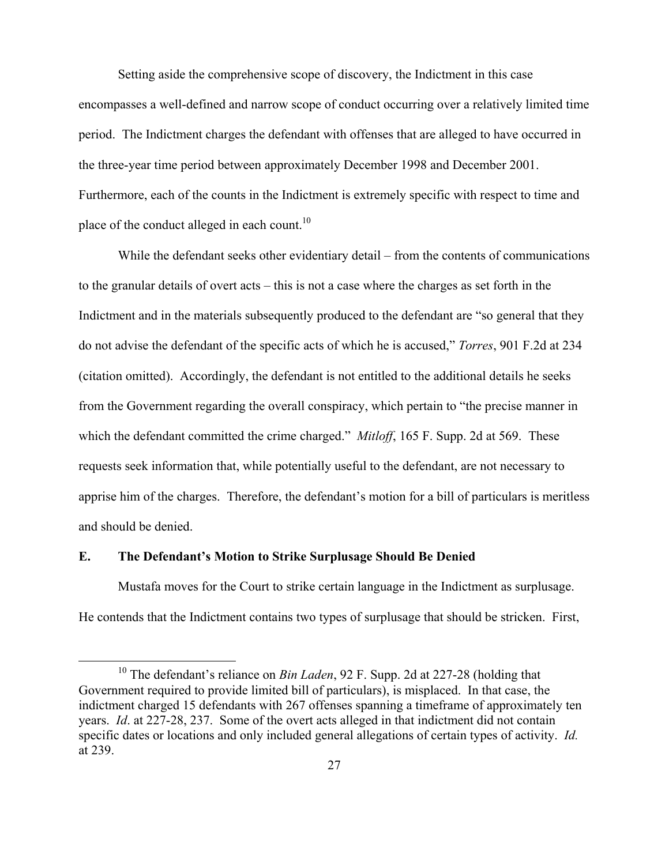Setting aside the comprehensive scope of discovery, the Indictment in this case encompasses a well-defined and narrow scope of conduct occurring over a relatively limited time period. The Indictment charges the defendant with offenses that are alleged to have occurred in the three-year time period between approximately December 1998 and December 2001. Furthermore, each of the counts in the Indictment is extremely specific with respect to time and place of the conduct alleged in each count.<sup>10</sup>

While the defendant seeks other evidentiary detail – from the contents of communications to the granular details of overt acts – this is not a case where the charges as set forth in the Indictment and in the materials subsequently produced to the defendant are "so general that they do not advise the defendant of the specific acts of which he is accused," *Torres*, 901 F.2d at 234 (citation omitted). Accordingly, the defendant is not entitled to the additional details he seeks from the Government regarding the overall conspiracy, which pertain to "the precise manner in which the defendant committed the crime charged." *Mitloff*, 165 F. Supp. 2d at 569. These requests seek information that, while potentially useful to the defendant, are not necessary to apprise him of the charges. Therefore, the defendant's motion for a bill of particulars is meritless and should be denied.

#### **E. The Defendant's Motion to Strike Surplusage Should Be Denied**

Mustafa moves for the Court to strike certain language in the Indictment as surplusage. He contends that the Indictment contains two types of surplusage that should be stricken. First,

 10 The defendant's reliance on *Bin Laden*, 92 F. Supp. 2d at 227-28 (holding that Government required to provide limited bill of particulars), is misplaced. In that case, the indictment charged 15 defendants with 267 offenses spanning a timeframe of approximately ten years. *Id*. at 227-28, 237. Some of the overt acts alleged in that indictment did not contain specific dates or locations and only included general allegations of certain types of activity. *Id.* at 239.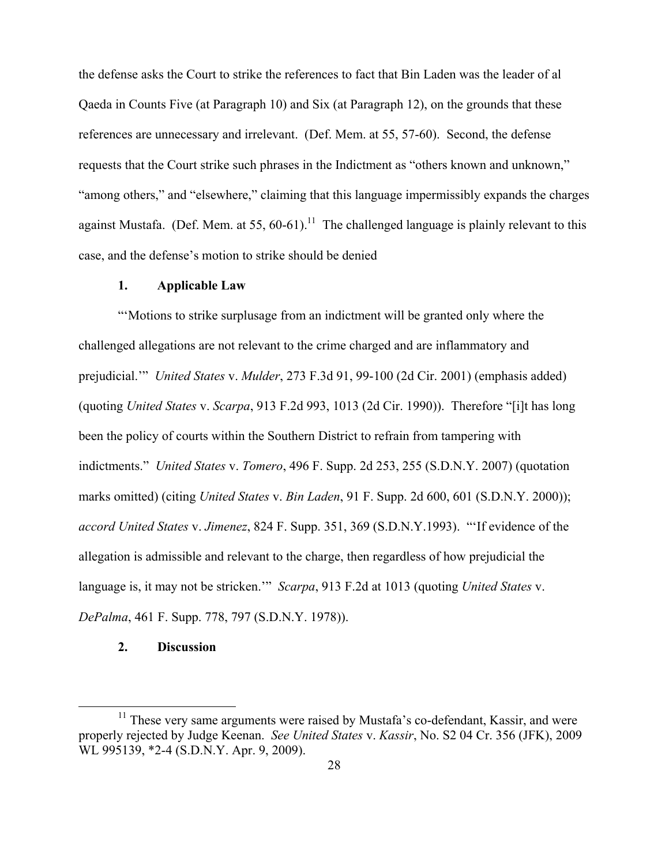the defense asks the Court to strike the references to fact that Bin Laden was the leader of al Qaeda in Counts Five (at Paragraph 10) and Six (at Paragraph 12), on the grounds that these references are unnecessary and irrelevant. (Def. Mem. at 55, 57-60). Second, the defense requests that the Court strike such phrases in the Indictment as "others known and unknown," "among others," and "elsewhere," claiming that this language impermissibly expands the charges against Mustafa. (Def. Mem. at 55,  $60-61$ ).<sup>11</sup> The challenged language is plainly relevant to this case, and the defense's motion to strike should be denied

#### **1. Applicable Law**

"'Motions to strike surplusage from an indictment will be granted only where the challenged allegations are not relevant to the crime charged and are inflammatory and prejudicial.'" *United States* v. *Mulder*, 273 F.3d 91, 99-100 (2d Cir. 2001) (emphasis added) (quoting *United States* v. *Scarpa*, 913 F.2d 993, 1013 (2d Cir. 1990)). Therefore "[i]t has long been the policy of courts within the Southern District to refrain from tampering with indictments." *United States* v. *Tomero*, 496 F. Supp. 2d 253, 255 (S.D.N.Y. 2007) (quotation marks omitted) (citing *United States* v. *Bin Laden*, 91 F. Supp. 2d 600, 601 (S.D.N.Y. 2000)); *accord United States* v. *Jimenez*, 824 F. Supp. 351, 369 (S.D.N.Y.1993). "'If evidence of the allegation is admissible and relevant to the charge, then regardless of how prejudicial the language is, it may not be stricken.'" *Scarpa*, 913 F.2d at 1013 (quoting *United States* v. *DePalma*, 461 F. Supp. 778, 797 (S.D.N.Y. 1978)).

## **2. Discussion**

 $11$  These very same arguments were raised by Mustafa's co-defendant, Kassir, and were properly rejected by Judge Keenan. *See United States* v. *Kassir*, No. S2 04 Cr. 356 (JFK), 2009 WL 995139, \*2-4 (S.D.N.Y. Apr. 9, 2009).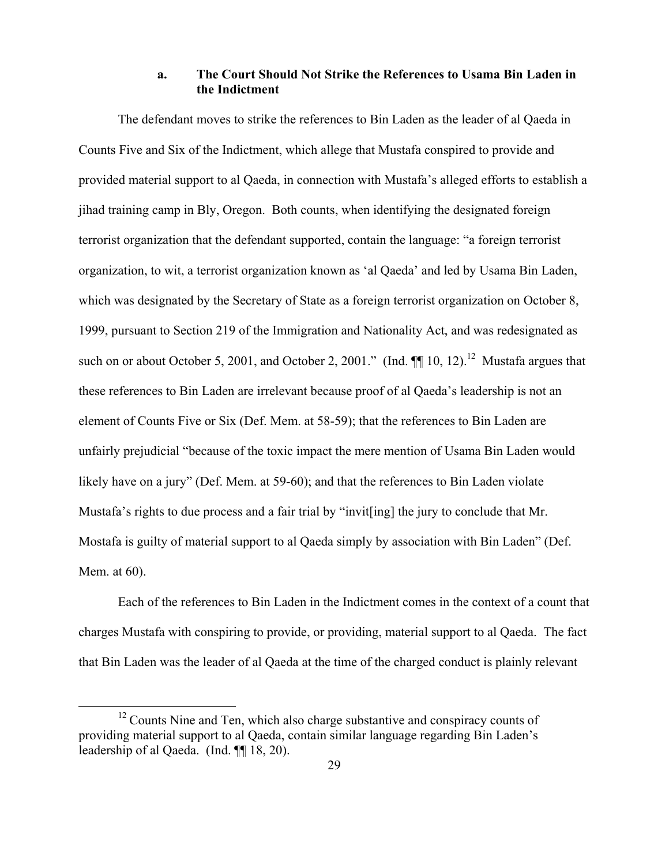## **a. The Court Should Not Strike the References to Usama Bin Laden in the Indictment**

The defendant moves to strike the references to Bin Laden as the leader of al Qaeda in Counts Five and Six of the Indictment, which allege that Mustafa conspired to provide and provided material support to al Qaeda, in connection with Mustafa's alleged efforts to establish a jihad training camp in Bly, Oregon. Both counts, when identifying the designated foreign terrorist organization that the defendant supported, contain the language: "a foreign terrorist organization, to wit, a terrorist organization known as 'al Qaeda' and led by Usama Bin Laden, which was designated by the Secretary of State as a foreign terrorist organization on October 8, 1999, pursuant to Section 219 of the Immigration and Nationality Act, and was redesignated as such on or about October 5, 2001, and October 2, 2001." (Ind.  $\P$  10, 12).<sup>12</sup> Mustafa argues that these references to Bin Laden are irrelevant because proof of al Qaeda's leadership is not an element of Counts Five or Six (Def. Mem. at 58-59); that the references to Bin Laden are unfairly prejudicial "because of the toxic impact the mere mention of Usama Bin Laden would likely have on a jury" (Def. Mem. at 59-60); and that the references to Bin Laden violate Mustafa's rights to due process and a fair trial by "invit[ing] the jury to conclude that Mr. Mostafa is guilty of material support to al Qaeda simply by association with Bin Laden" (Def. Mem. at 60).

Each of the references to Bin Laden in the Indictment comes in the context of a count that charges Mustafa with conspiring to provide, or providing, material support to al Qaeda. The fact that Bin Laden was the leader of al Qaeda at the time of the charged conduct is plainly relevant

 $12$  Counts Nine and Ten, which also charge substantive and conspiracy counts of providing material support to al Qaeda, contain similar language regarding Bin Laden's leadership of al Qaeda. (Ind. ¶¶ 18, 20).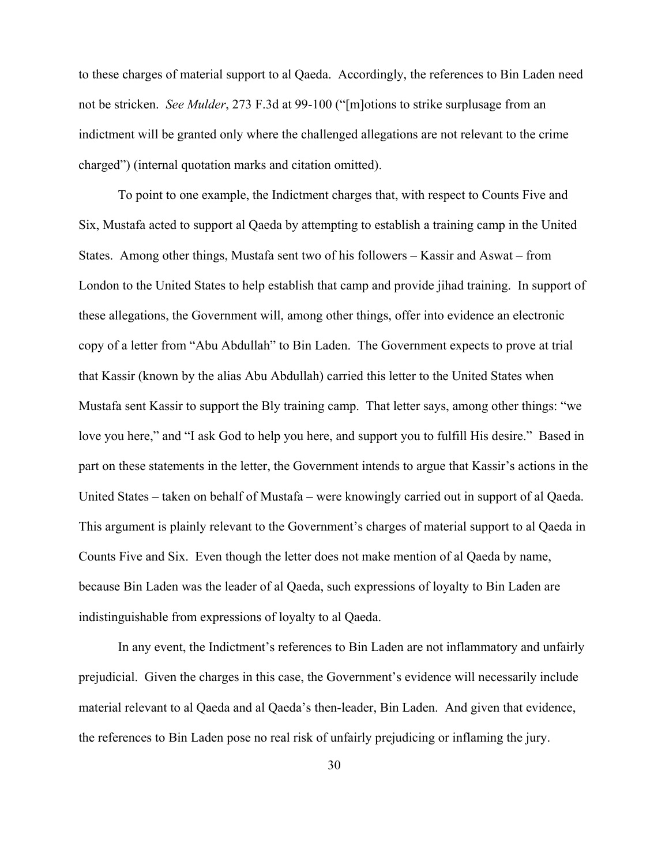to these charges of material support to al Qaeda. Accordingly, the references to Bin Laden need not be stricken. *See Mulder*, 273 F.3d at 99-100 ("[m]otions to strike surplusage from an indictment will be granted only where the challenged allegations are not relevant to the crime charged") (internal quotation marks and citation omitted).

To point to one example, the Indictment charges that, with respect to Counts Five and Six, Mustafa acted to support al Qaeda by attempting to establish a training camp in the United States. Among other things, Mustafa sent two of his followers – Kassir and Aswat – from London to the United States to help establish that camp and provide jihad training. In support of these allegations, the Government will, among other things, offer into evidence an electronic copy of a letter from "Abu Abdullah" to Bin Laden. The Government expects to prove at trial that Kassir (known by the alias Abu Abdullah) carried this letter to the United States when Mustafa sent Kassir to support the Bly training camp. That letter says, among other things: "we love you here," and "I ask God to help you here, and support you to fulfill His desire." Based in part on these statements in the letter, the Government intends to argue that Kassir's actions in the United States – taken on behalf of Mustafa – were knowingly carried out in support of al Qaeda. This argument is plainly relevant to the Government's charges of material support to al Qaeda in Counts Five and Six. Even though the letter does not make mention of al Qaeda by name, because Bin Laden was the leader of al Qaeda, such expressions of loyalty to Bin Laden are indistinguishable from expressions of loyalty to al Qaeda.

In any event, the Indictment's references to Bin Laden are not inflammatory and unfairly prejudicial. Given the charges in this case, the Government's evidence will necessarily include material relevant to al Qaeda and al Qaeda's then-leader, Bin Laden. And given that evidence, the references to Bin Laden pose no real risk of unfairly prejudicing or inflaming the jury.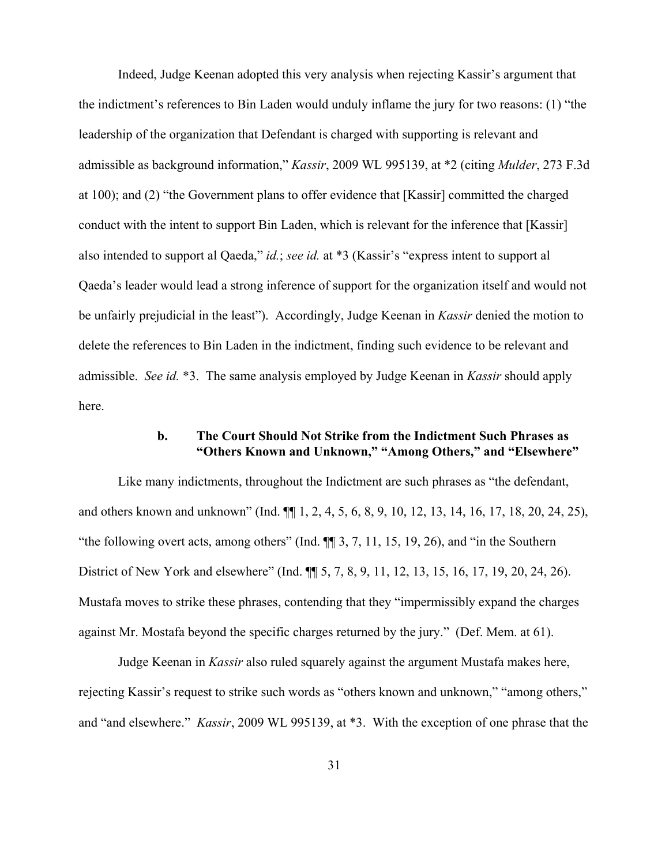Indeed, Judge Keenan adopted this very analysis when rejecting Kassir's argument that the indictment's references to Bin Laden would unduly inflame the jury for two reasons: (1) "the leadership of the organization that Defendant is charged with supporting is relevant and admissible as background information," *Kassir*, 2009 WL 995139, at \*2 (citing *Mulder*, 273 F.3d at 100); and (2) "the Government plans to offer evidence that [Kassir] committed the charged conduct with the intent to support Bin Laden, which is relevant for the inference that [Kassir] also intended to support al Qaeda," *id.*; *see id.* at \*3 (Kassir's "express intent to support al Qaeda's leader would lead a strong inference of support for the organization itself and would not be unfairly prejudicial in the least"). Accordingly, Judge Keenan in *Kassir* denied the motion to delete the references to Bin Laden in the indictment, finding such evidence to be relevant and admissible. *See id.* \*3. The same analysis employed by Judge Keenan in *Kassir* should apply here.

## **b. The Court Should Not Strike from the Indictment Such Phrases as "Others Known and Unknown," "Among Others," and "Elsewhere"**

Like many indictments, throughout the Indictment are such phrases as "the defendant, and others known and unknown" (Ind. ¶¶ 1, 2, 4, 5, 6, 8, 9, 10, 12, 13, 14, 16, 17, 18, 20, 24, 25), "the following overt acts, among others" (Ind. ¶¶ 3, 7, 11, 15, 19, 26), and "in the Southern District of New York and elsewhere" (Ind. ¶¶ 5, 7, 8, 9, 11, 12, 13, 15, 16, 17, 19, 20, 24, 26). Mustafa moves to strike these phrases, contending that they "impermissibly expand the charges against Mr. Mostafa beyond the specific charges returned by the jury." (Def. Mem. at 61).

Judge Keenan in *Kassir* also ruled squarely against the argument Mustafa makes here, rejecting Kassir's request to strike such words as "others known and unknown," "among others," and "and elsewhere." *Kassir*, 2009 WL 995139, at \*3. With the exception of one phrase that the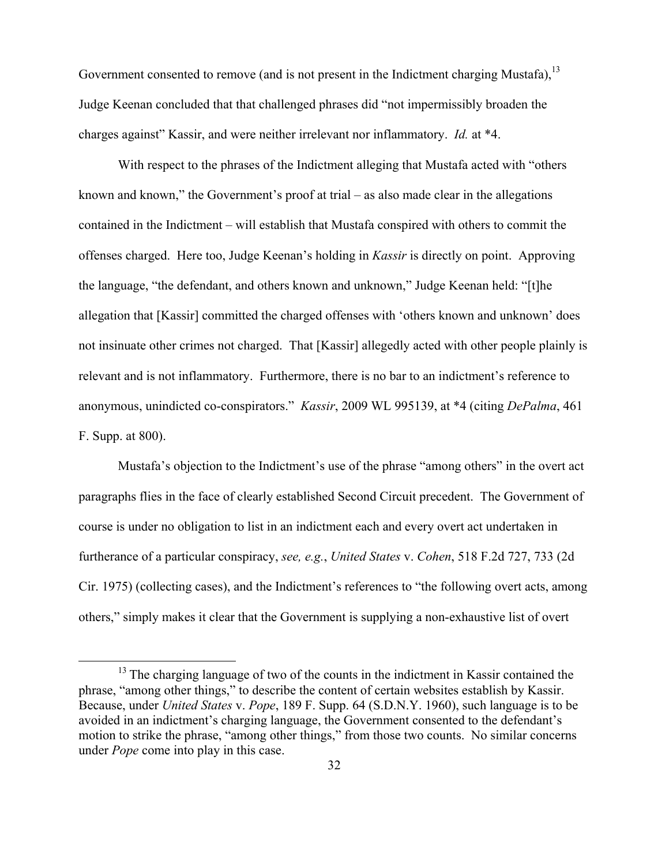Government consented to remove (and is not present in the Indictment charging Mustafa),  $^{13}$ Judge Keenan concluded that that challenged phrases did "not impermissibly broaden the charges against" Kassir, and were neither irrelevant nor inflammatory. *Id.* at \*4.

With respect to the phrases of the Indictment alleging that Mustafa acted with "others known and known," the Government's proof at trial – as also made clear in the allegations contained in the Indictment – will establish that Mustafa conspired with others to commit the offenses charged. Here too, Judge Keenan's holding in *Kassir* is directly on point. Approving the language, "the defendant, and others known and unknown," Judge Keenan held: "[t]he allegation that [Kassir] committed the charged offenses with 'others known and unknown' does not insinuate other crimes not charged. That [Kassir] allegedly acted with other people plainly is relevant and is not inflammatory. Furthermore, there is no bar to an indictment's reference to anonymous, unindicted co-conspirators." *Kassir*, 2009 WL 995139, at \*4 (citing *DePalma*, 461 F. Supp. at 800).

Mustafa's objection to the Indictment's use of the phrase "among others" in the overt act paragraphs flies in the face of clearly established Second Circuit precedent. The Government of course is under no obligation to list in an indictment each and every overt act undertaken in furtherance of a particular conspiracy, *see, e.g.*, *United States* v. *Cohen*, 518 F.2d 727, 733 (2d Cir. 1975) (collecting cases), and the Indictment's references to "the following overt acts, among others," simply makes it clear that the Government is supplying a non-exhaustive list of overt

<sup>&</sup>lt;sup>13</sup> The charging language of two of the counts in the indictment in Kassir contained the phrase, "among other things," to describe the content of certain websites establish by Kassir. Because, under *United States* v. *Pope*, 189 F. Supp. 64 (S.D.N.Y. 1960), such language is to be avoided in an indictment's charging language, the Government consented to the defendant's motion to strike the phrase, "among other things," from those two counts. No similar concerns under *Pope* come into play in this case.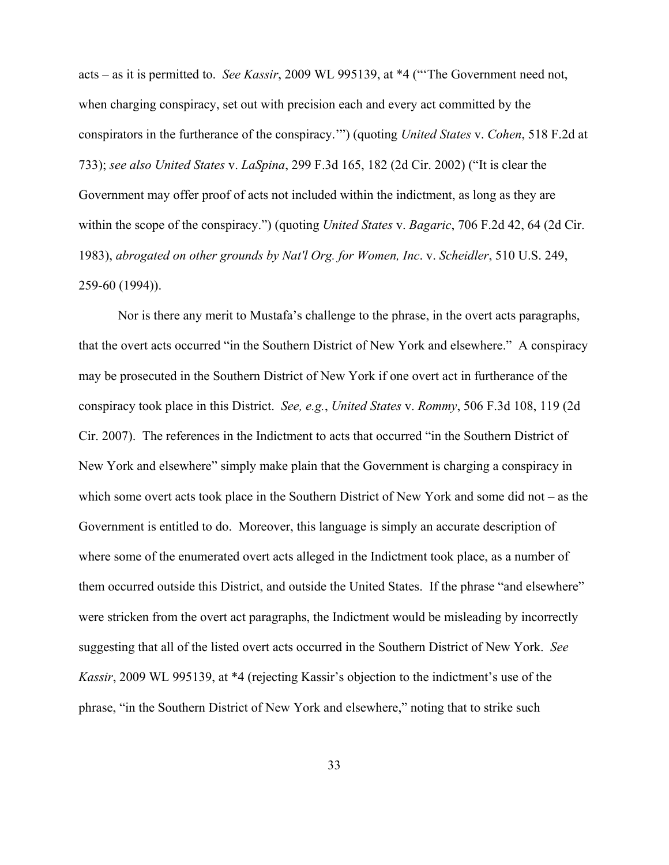acts – as it is permitted to. *See Kassir*, 2009 WL 995139, at \*4 ("'The Government need not, when charging conspiracy, set out with precision each and every act committed by the conspirators in the furtherance of the conspiracy.'") (quoting *United States* v. *Cohen*, 518 F.2d at 733); *see also United States* v. *LaSpina*, 299 F.3d 165, 182 (2d Cir. 2002) ("It is clear the Government may offer proof of acts not included within the indictment, as long as they are within the scope of the conspiracy.") (quoting *United States* v. *Bagaric*, 706 F.2d 42, 64 (2d Cir. 1983), *abrogated on other grounds by Nat'l Org. for Women, Inc*. v. *Scheidler*, 510 U.S. 249, 259-60 (1994)).

Nor is there any merit to Mustafa's challenge to the phrase, in the overt acts paragraphs, that the overt acts occurred "in the Southern District of New York and elsewhere." A conspiracy may be prosecuted in the Southern District of New York if one overt act in furtherance of the conspiracy took place in this District. *See, e.g.*, *United States* v. *Rommy*, 506 F.3d 108, 119 (2d Cir. 2007). The references in the Indictment to acts that occurred "in the Southern District of New York and elsewhere" simply make plain that the Government is charging a conspiracy in which some overt acts took place in the Southern District of New York and some did not – as the Government is entitled to do. Moreover, this language is simply an accurate description of where some of the enumerated overt acts alleged in the Indictment took place, as a number of them occurred outside this District, and outside the United States. If the phrase "and elsewhere" were stricken from the overt act paragraphs, the Indictment would be misleading by incorrectly suggesting that all of the listed overt acts occurred in the Southern District of New York. *See Kassir*, 2009 WL 995139, at \*4 (rejecting Kassir's objection to the indictment's use of the phrase, "in the Southern District of New York and elsewhere," noting that to strike such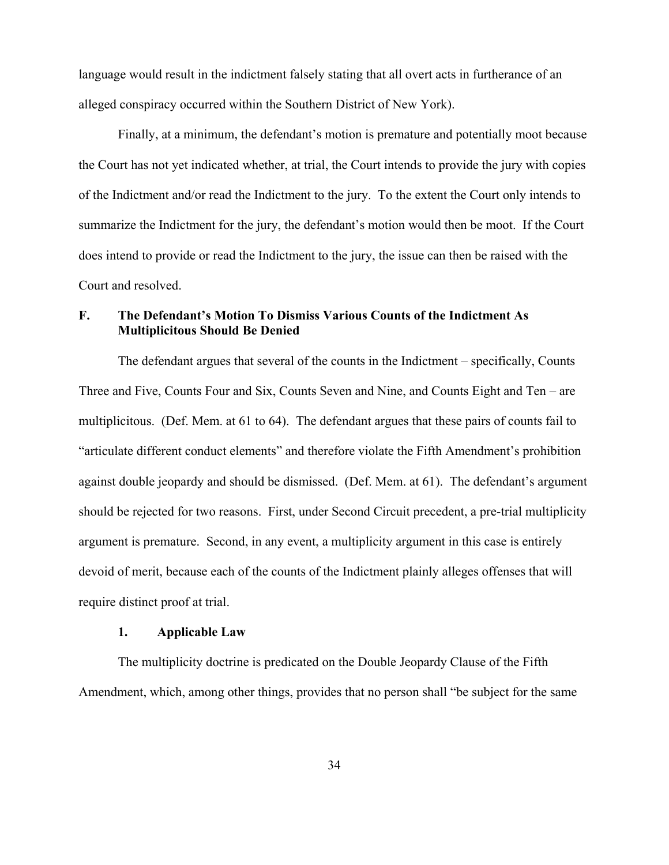language would result in the indictment falsely stating that all overt acts in furtherance of an alleged conspiracy occurred within the Southern District of New York).

Finally, at a minimum, the defendant's motion is premature and potentially moot because the Court has not yet indicated whether, at trial, the Court intends to provide the jury with copies of the Indictment and/or read the Indictment to the jury. To the extent the Court only intends to summarize the Indictment for the jury, the defendant's motion would then be moot. If the Court does intend to provide or read the Indictment to the jury, the issue can then be raised with the Court and resolved.

## **F. The Defendant's Motion To Dismiss Various Counts of the Indictment As Multiplicitous Should Be Denied**

The defendant argues that several of the counts in the Indictment – specifically, Counts Three and Five, Counts Four and Six, Counts Seven and Nine, and Counts Eight and Ten – are multiplicitous. (Def. Mem. at 61 to 64). The defendant argues that these pairs of counts fail to "articulate different conduct elements" and therefore violate the Fifth Amendment's prohibition against double jeopardy and should be dismissed. (Def. Mem. at 61). The defendant's argument should be rejected for two reasons. First, under Second Circuit precedent, a pre-trial multiplicity argument is premature. Second, in any event, a multiplicity argument in this case is entirely devoid of merit, because each of the counts of the Indictment plainly alleges offenses that will require distinct proof at trial.

#### **1. Applicable Law**

The multiplicity doctrine is predicated on the Double Jeopardy Clause of the Fifth Amendment, which, among other things, provides that no person shall "be subject for the same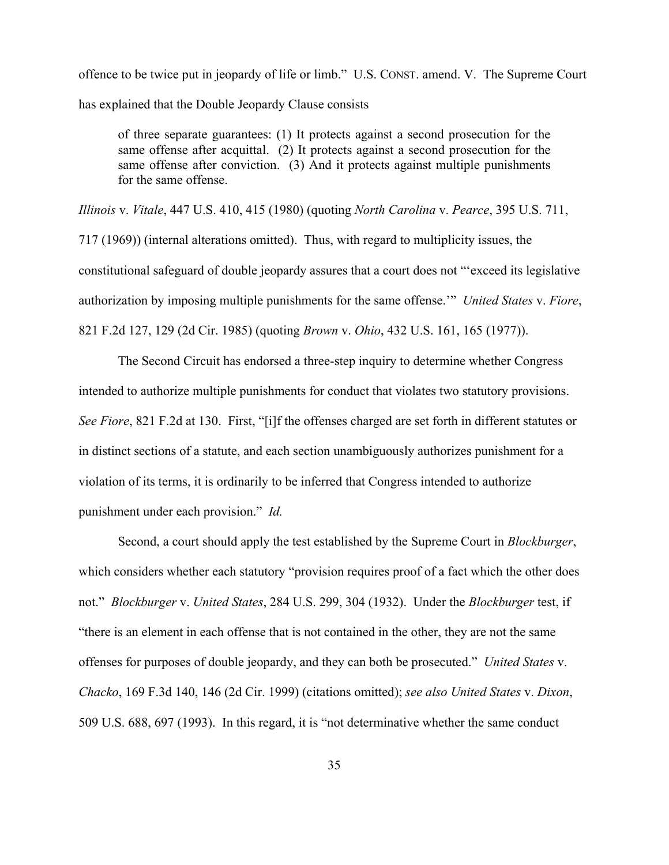offence to be twice put in jeopardy of life or limb." U.S. CONST. amend. V. The Supreme Court has explained that the Double Jeopardy Clause consists

of three separate guarantees: (1) It protects against a second prosecution for the same offense after acquittal. (2) It protects against a second prosecution for the same offense after conviction. (3) And it protects against multiple punishments for the same offense.

*Illinois* v. *Vitale*, 447 U.S. 410, 415 (1980) (quoting *North Carolina* v. *Pearce*, 395 U.S. 711, 717 (1969)) (internal alterations omitted). Thus, with regard to multiplicity issues, the constitutional safeguard of double jeopardy assures that a court does not "'exceed its legislative authorization by imposing multiple punishments for the same offense.'" *United States* v. *Fiore*, 821 F.2d 127, 129 (2d Cir. 1985) (quoting *Brown* v. *Ohio*, 432 U.S. 161, 165 (1977)).

The Second Circuit has endorsed a three-step inquiry to determine whether Congress intended to authorize multiple punishments for conduct that violates two statutory provisions. *See Fiore*, 821 F.2d at 130. First, "[i]f the offenses charged are set forth in different statutes or in distinct sections of a statute, and each section unambiguously authorizes punishment for a violation of its terms, it is ordinarily to be inferred that Congress intended to authorize punishment under each provision." *Id.* 

Second, a court should apply the test established by the Supreme Court in *Blockburger*, which considers whether each statutory "provision requires proof of a fact which the other does not." *Blockburger* v. *United States*, 284 U.S. 299, 304 (1932). Under the *Blockburger* test, if "there is an element in each offense that is not contained in the other, they are not the same offenses for purposes of double jeopardy, and they can both be prosecuted." *United States* v. *Chacko*, 169 F.3d 140, 146 (2d Cir. 1999) (citations omitted); *see also United States* v. *Dixon*, 509 U.S. 688, 697 (1993). In this regard, it is "not determinative whether the same conduct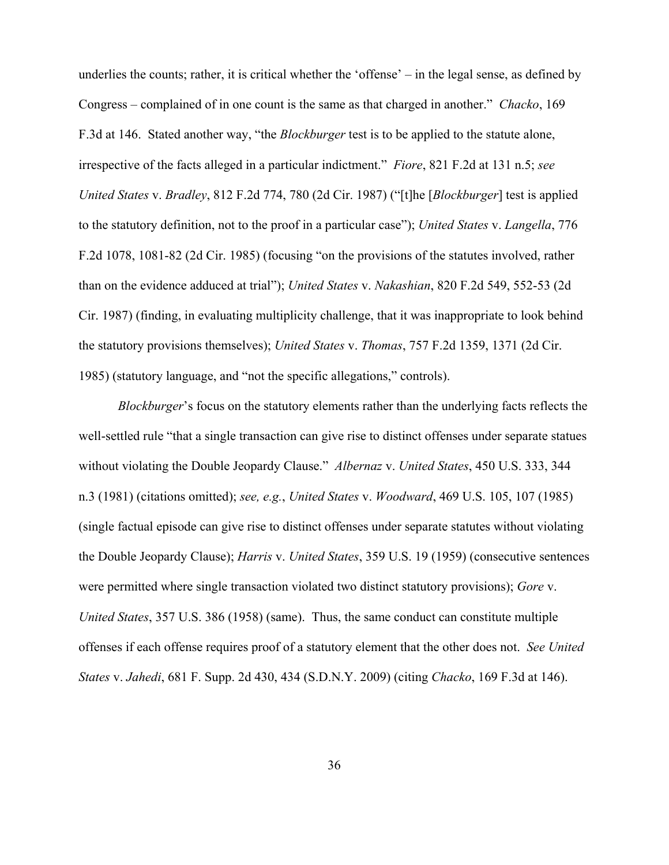underlies the counts; rather, it is critical whether the 'offense' – in the legal sense, as defined by Congress – complained of in one count is the same as that charged in another." *Chacko*, 169 F.3d at 146. Stated another way, "the *Blockburger* test is to be applied to the statute alone, irrespective of the facts alleged in a particular indictment." *Fiore*, 821 F.2d at 131 n.5; *see United States* v. *Bradley*, 812 F.2d 774, 780 (2d Cir. 1987) ("[t]he [*Blockburger*] test is applied to the statutory definition, not to the proof in a particular case"); *United States* v. *Langella*, 776 F.2d 1078, 1081-82 (2d Cir. 1985) (focusing "on the provisions of the statutes involved, rather than on the evidence adduced at trial"); *United States* v. *Nakashian*, 820 F.2d 549, 552-53 (2d Cir. 1987) (finding, in evaluating multiplicity challenge, that it was inappropriate to look behind the statutory provisions themselves); *United States* v. *Thomas*, 757 F.2d 1359, 1371 (2d Cir. 1985) (statutory language, and "not the specific allegations," controls).

*Blockburger*'s focus on the statutory elements rather than the underlying facts reflects the well-settled rule "that a single transaction can give rise to distinct offenses under separate statues without violating the Double Jeopardy Clause." *Albernaz* v. *United States*, 450 U.S. 333, 344 n.3 (1981) (citations omitted); *see, e.g.*, *United States* v. *Woodward*, 469 U.S. 105, 107 (1985) (single factual episode can give rise to distinct offenses under separate statutes without violating the Double Jeopardy Clause); *Harris* v. *United States*, 359 U.S. 19 (1959) (consecutive sentences were permitted where single transaction violated two distinct statutory provisions); *Gore* v. *United States*, 357 U.S. 386 (1958) (same). Thus, the same conduct can constitute multiple offenses if each offense requires proof of a statutory element that the other does not. *See United States* v. *Jahedi*, 681 F. Supp. 2d 430, 434 (S.D.N.Y. 2009) (citing *Chacko*, 169 F.3d at 146).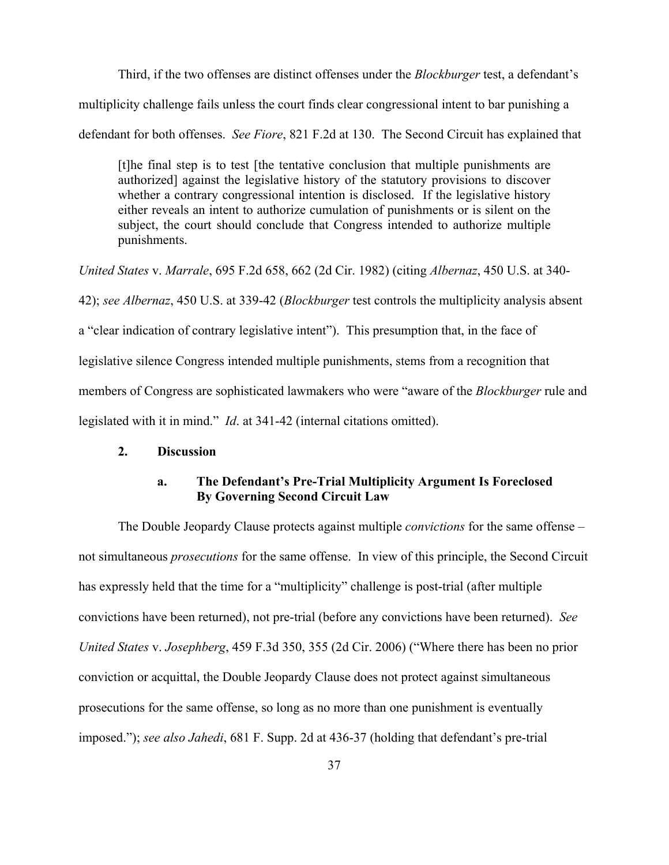Third, if the two offenses are distinct offenses under the *Blockburger* test, a defendant's

multiplicity challenge fails unless the court finds clear congressional intent to bar punishing a

defendant for both offenses. *See Fiore*, 821 F.2d at 130. The Second Circuit has explained that

[t]he final step is to test [the tentative conclusion that multiple punishments are authorized] against the legislative history of the statutory provisions to discover whether a contrary congressional intention is disclosed. If the legislative history either reveals an intent to authorize cumulation of punishments or is silent on the subject, the court should conclude that Congress intended to authorize multiple punishments.

*United States* v. *Marrale*, 695 F.2d 658, 662 (2d Cir. 1982) (citing *Albernaz*, 450 U.S. at 340- 42); *see Albernaz*, 450 U.S. at 339-42 (*Blockburger* test controls the multiplicity analysis absent a "clear indication of contrary legislative intent"). This presumption that, in the face of legislative silence Congress intended multiple punishments, stems from a recognition that members of Congress are sophisticated lawmakers who were "aware of the *Blockburger* rule and legislated with it in mind." *Id*. at 341-42 (internal citations omitted).

#### **2. Discussion**

## **a. The Defendant's Pre-Trial Multiplicity Argument Is Foreclosed By Governing Second Circuit Law**

The Double Jeopardy Clause protects against multiple *convictions* for the same offense – not simultaneous *prosecutions* for the same offense. In view of this principle, the Second Circuit has expressly held that the time for a "multiplicity" challenge is post-trial (after multiple convictions have been returned), not pre-trial (before any convictions have been returned). *See United States* v. *Josephberg*, 459 F.3d 350, 355 (2d Cir. 2006) ("Where there has been no prior conviction or acquittal, the Double Jeopardy Clause does not protect against simultaneous prosecutions for the same offense, so long as no more than one punishment is eventually imposed."); *see also Jahedi*, 681 F. Supp. 2d at 436-37 (holding that defendant's pre-trial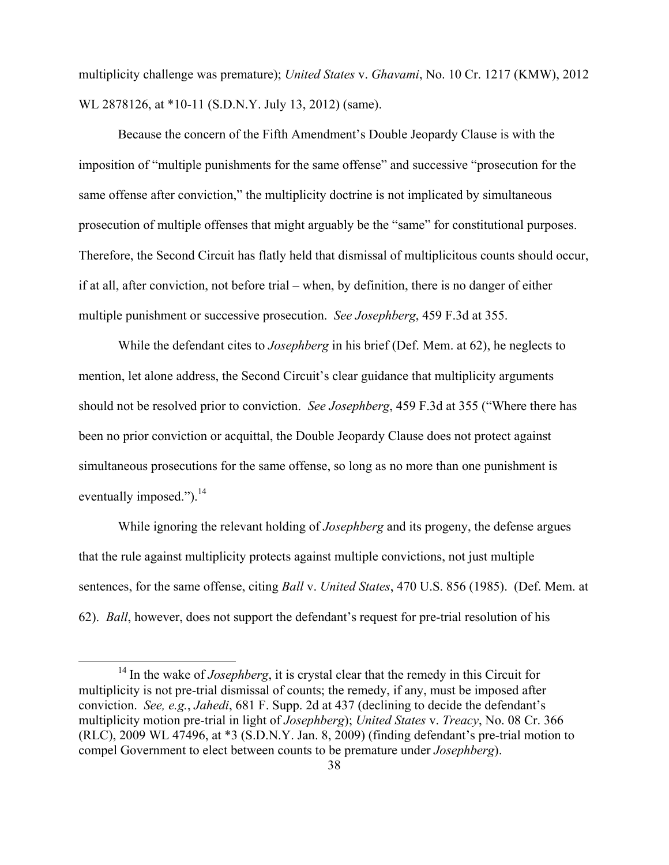multiplicity challenge was premature); *United States* v. *Ghavami*, No. 10 Cr. 1217 (KMW), 2012 WL 2878126, at \*10-11 (S.D.N.Y. July 13, 2012) (same).

Because the concern of the Fifth Amendment's Double Jeopardy Clause is with the imposition of "multiple punishments for the same offense" and successive "prosecution for the same offense after conviction," the multiplicity doctrine is not implicated by simultaneous prosecution of multiple offenses that might arguably be the "same" for constitutional purposes. Therefore, the Second Circuit has flatly held that dismissal of multiplicitous counts should occur, if at all, after conviction, not before trial – when, by definition, there is no danger of either multiple punishment or successive prosecution. *See Josephberg*, 459 F.3d at 355.

While the defendant cites to *Josephberg* in his brief (Def. Mem. at 62), he neglects to mention, let alone address, the Second Circuit's clear guidance that multiplicity arguments should not be resolved prior to conviction. *See Josephberg*, 459 F.3d at 355 ("Where there has been no prior conviction or acquittal, the Double Jeopardy Clause does not protect against simultaneous prosecutions for the same offense, so long as no more than one punishment is eventually imposed."). $^{14}$ 

While ignoring the relevant holding of *Josephberg* and its progeny, the defense argues that the rule against multiplicity protects against multiple convictions, not just multiple sentences, for the same offense, citing *Ball* v. *United States*, 470 U.S. 856 (1985). (Def. Mem. at 62). *Ball*, however, does not support the defendant's request for pre-trial resolution of his

<sup>&</sup>lt;sup>14</sup> In the wake of *Josephberg*, it is crystal clear that the remedy in this Circuit for multiplicity is not pre-trial dismissal of counts; the remedy, if any, must be imposed after conviction. *See, e.g.*, *Jahedi*, 681 F. Supp. 2d at 437 (declining to decide the defendant's multiplicity motion pre-trial in light of *Josephberg*); *United States* v. *Treacy*, No. 08 Cr. 366 (RLC), 2009 WL 47496, at \*3 (S.D.N.Y. Jan. 8, 2009) (finding defendant's pre-trial motion to compel Government to elect between counts to be premature under *Josephberg*).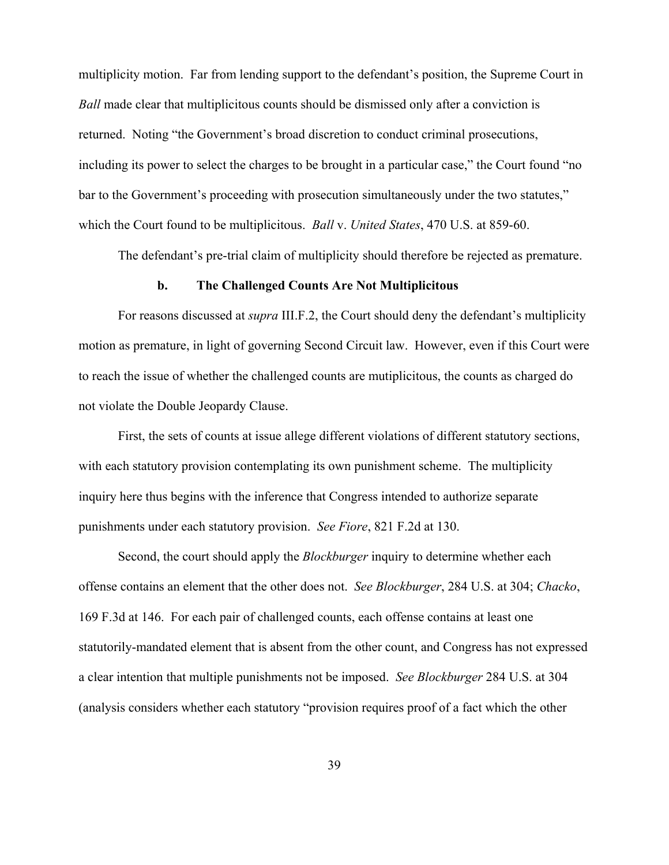multiplicity motion. Far from lending support to the defendant's position, the Supreme Court in *Ball* made clear that multiplicitous counts should be dismissed only after a conviction is returned. Noting "the Government's broad discretion to conduct criminal prosecutions, including its power to select the charges to be brought in a particular case," the Court found "no bar to the Government's proceeding with prosecution simultaneously under the two statutes," which the Court found to be multiplicitous. *Ball* v. *United States*, 470 U.S. at 859-60.

The defendant's pre-trial claim of multiplicity should therefore be rejected as premature.

#### **b. The Challenged Counts Are Not Multiplicitous**

For reasons discussed at *supra* III.F.2, the Court should deny the defendant's multiplicity motion as premature, in light of governing Second Circuit law. However, even if this Court were to reach the issue of whether the challenged counts are mutiplicitous, the counts as charged do not violate the Double Jeopardy Clause.

First, the sets of counts at issue allege different violations of different statutory sections, with each statutory provision contemplating its own punishment scheme. The multiplicity inquiry here thus begins with the inference that Congress intended to authorize separate punishments under each statutory provision. *See Fiore*, 821 F.2d at 130.

Second, the court should apply the *Blockburger* inquiry to determine whether each offense contains an element that the other does not. *See Blockburger*, 284 U.S. at 304; *Chacko*, 169 F.3d at 146. For each pair of challenged counts, each offense contains at least one statutorily-mandated element that is absent from the other count, and Congress has not expressed a clear intention that multiple punishments not be imposed. *See Blockburger* 284 U.S. at 304 (analysis considers whether each statutory "provision requires proof of a fact which the other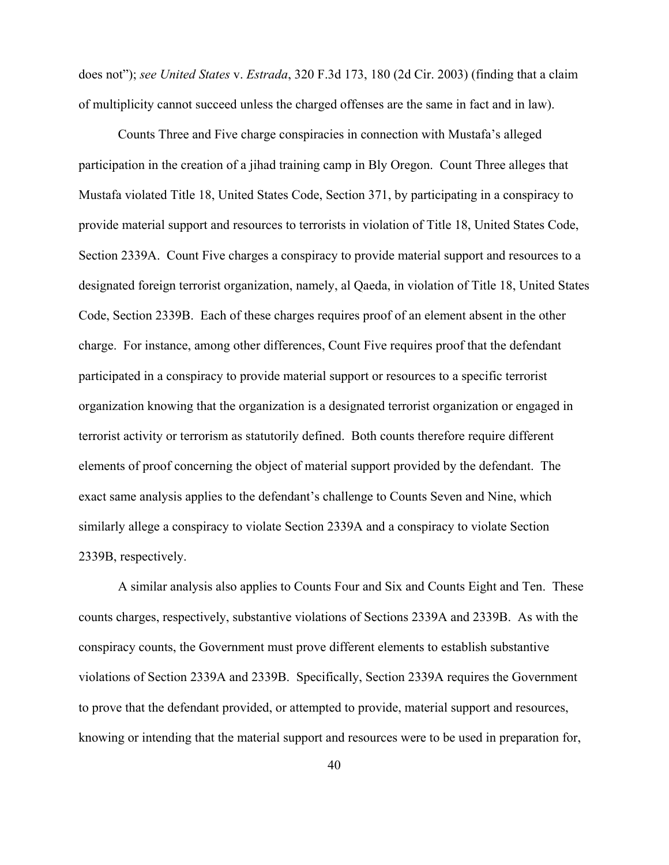does not"); *see United States* v. *Estrada*, 320 F.3d 173, 180 (2d Cir. 2003) (finding that a claim of multiplicity cannot succeed unless the charged offenses are the same in fact and in law).

Counts Three and Five charge conspiracies in connection with Mustafa's alleged participation in the creation of a jihad training camp in Bly Oregon. Count Three alleges that Mustafa violated Title 18, United States Code, Section 371, by participating in a conspiracy to provide material support and resources to terrorists in violation of Title 18, United States Code, Section 2339A. Count Five charges a conspiracy to provide material support and resources to a designated foreign terrorist organization, namely, al Qaeda, in violation of Title 18, United States Code, Section 2339B. Each of these charges requires proof of an element absent in the other charge. For instance, among other differences, Count Five requires proof that the defendant participated in a conspiracy to provide material support or resources to a specific terrorist organization knowing that the organization is a designated terrorist organization or engaged in terrorist activity or terrorism as statutorily defined. Both counts therefore require different elements of proof concerning the object of material support provided by the defendant. The exact same analysis applies to the defendant's challenge to Counts Seven and Nine, which similarly allege a conspiracy to violate Section 2339A and a conspiracy to violate Section 2339B, respectively.

A similar analysis also applies to Counts Four and Six and Counts Eight and Ten. These counts charges, respectively, substantive violations of Sections 2339A and 2339B. As with the conspiracy counts, the Government must prove different elements to establish substantive violations of Section 2339A and 2339B. Specifically, Section 2339A requires the Government to prove that the defendant provided, or attempted to provide, material support and resources, knowing or intending that the material support and resources were to be used in preparation for,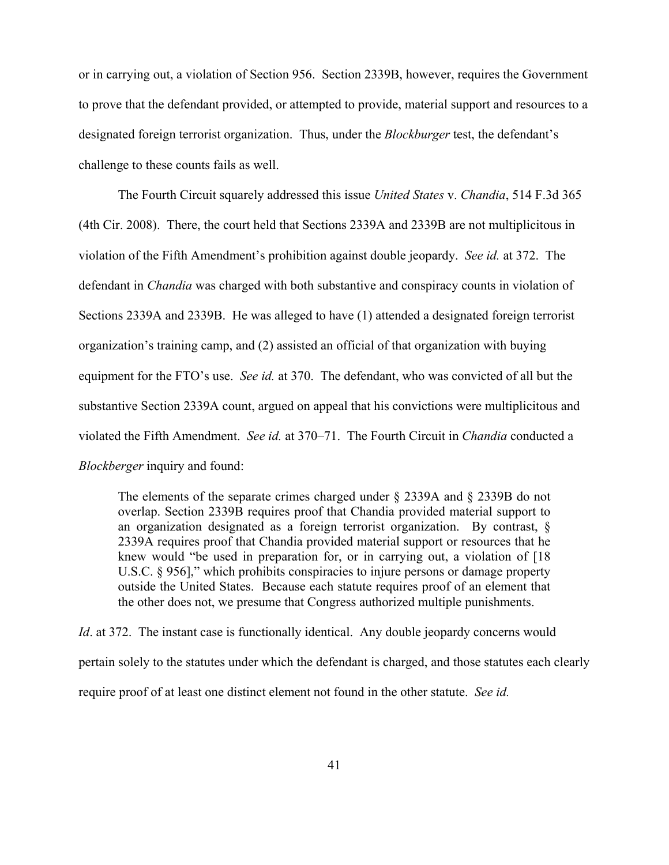or in carrying out, a violation of Section 956. Section 2339B, however, requires the Government to prove that the defendant provided, or attempted to provide, material support and resources to a designated foreign terrorist organization. Thus, under the *Blockburger* test, the defendant's challenge to these counts fails as well.

The Fourth Circuit squarely addressed this issue *United States* v. *Chandia*, 514 F.3d 365 (4th Cir. 2008). There, the court held that Sections 2339A and 2339B are not multiplicitous in violation of the Fifth Amendment's prohibition against double jeopardy. *See id.* at 372. The defendant in *Chandia* was charged with both substantive and conspiracy counts in violation of Sections 2339A and 2339B. He was alleged to have (1) attended a designated foreign terrorist organization's training camp, and (2) assisted an official of that organization with buying equipment for the FTO's use. *See id.* at 370. The defendant, who was convicted of all but the substantive Section 2339A count, argued on appeal that his convictions were multiplicitous and violated the Fifth Amendment. *See id.* at 370–71. The Fourth Circuit in *Chandia* conducted a *Blockberger* inquiry and found:

The elements of the separate crimes charged under § 2339A and § 2339B do not overlap. Section 2339B requires proof that Chandia provided material support to an organization designated as a foreign terrorist organization. By contrast, § 2339A requires proof that Chandia provided material support or resources that he knew would "be used in preparation for, or in carrying out, a violation of [18 U.S.C. § 956]," which prohibits conspiracies to injure persons or damage property outside the United States. Because each statute requires proof of an element that the other does not, we presume that Congress authorized multiple punishments.

*Id.* at 372. The instant case is functionally identical. Any double jeopardy concerns would pertain solely to the statutes under which the defendant is charged, and those statutes each clearly require proof of at least one distinct element not found in the other statute. *See id.*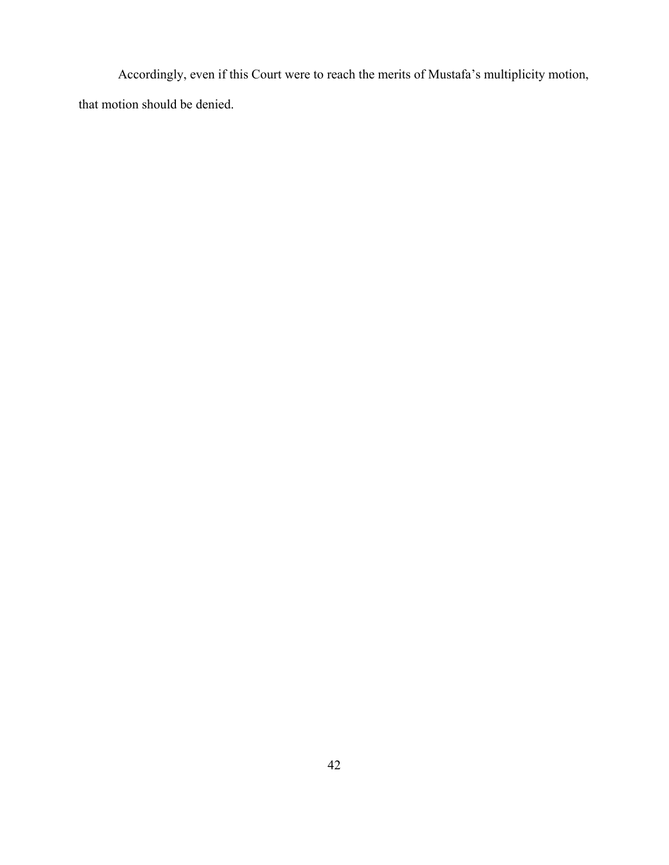Accordingly, even if this Court were to reach the merits of Mustafa's multiplicity motion, that motion should be denied.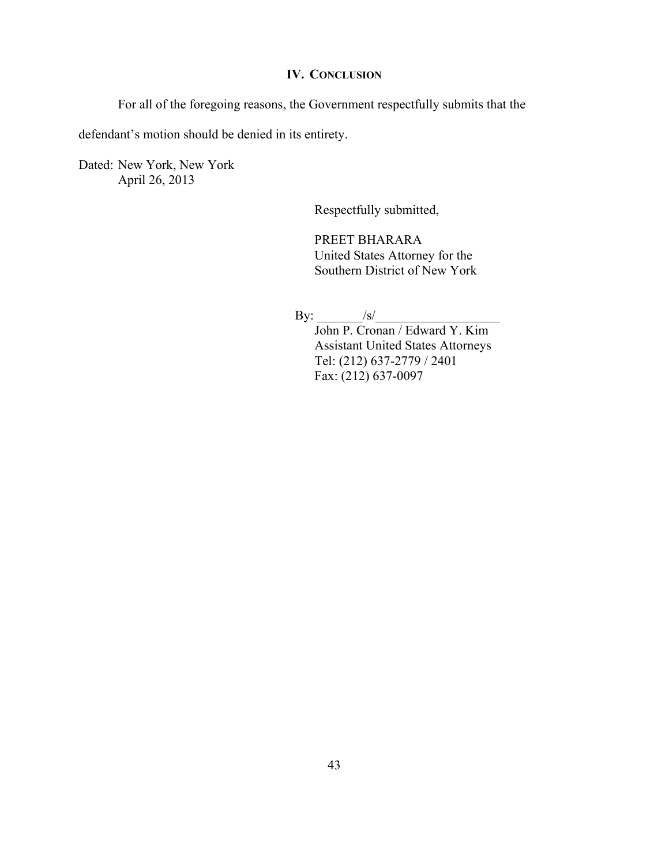# **IV. CONCLUSION**

For all of the foregoing reasons, the Government respectfully submits that the

defendant's motion should be denied in its entirety.

Dated: New York, New York April 26, 2013

Respectfully submitted,

PREET BHARARA United States Attorney for the Southern District of New York

By: \_\_\_\_\_\_\_/s/\_\_\_\_\_\_\_\_\_\_\_\_\_\_\_\_\_\_\_

John P. Cronan / Edward Y. Kim Assistant United States Attorneys Tel: (212) 637-2779 / 2401 Fax: (212) 637-0097